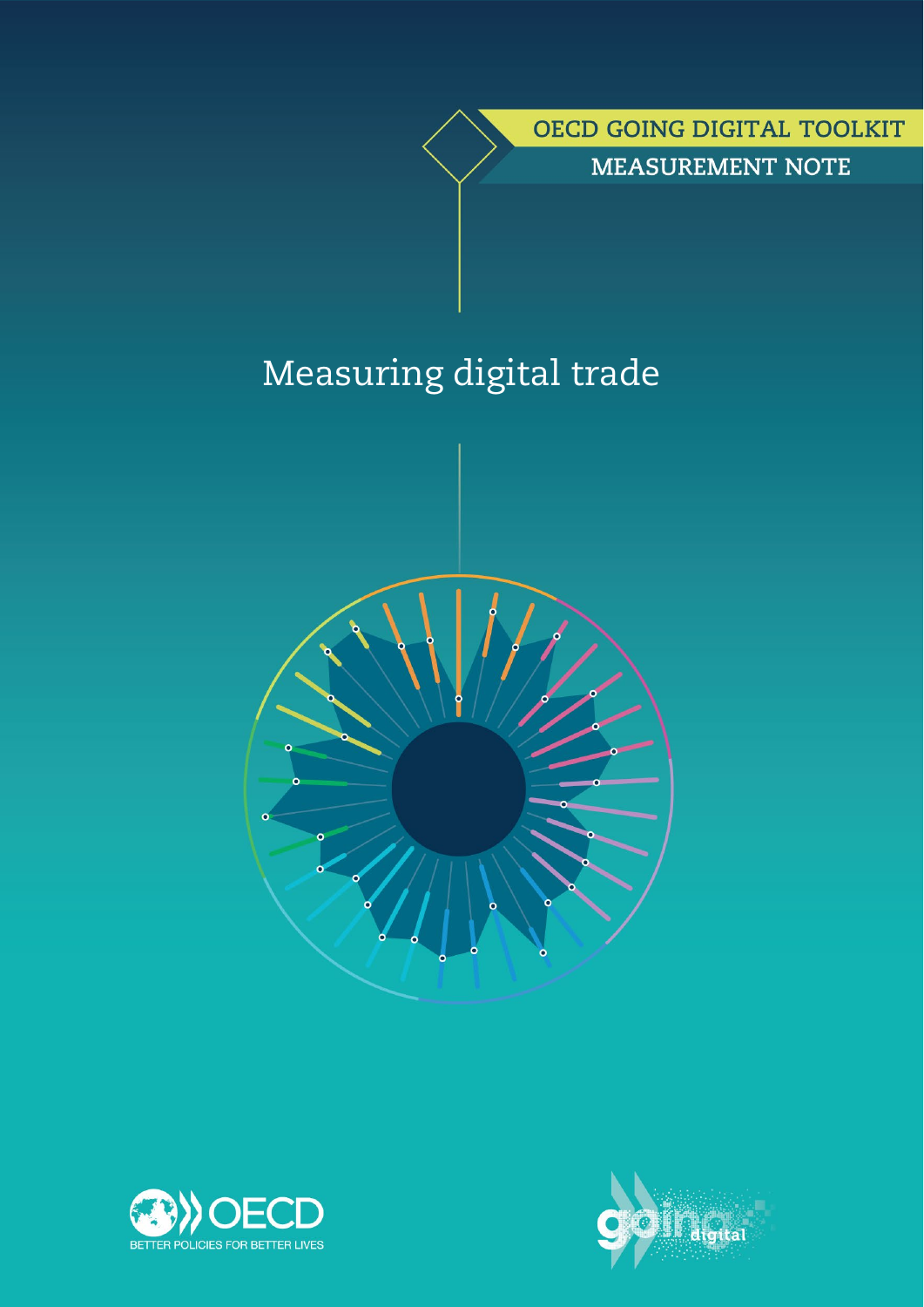OECD GOING DIGITAL TOOLKIT **MEASUREMENT NOTE** 

# Measuring digital trade





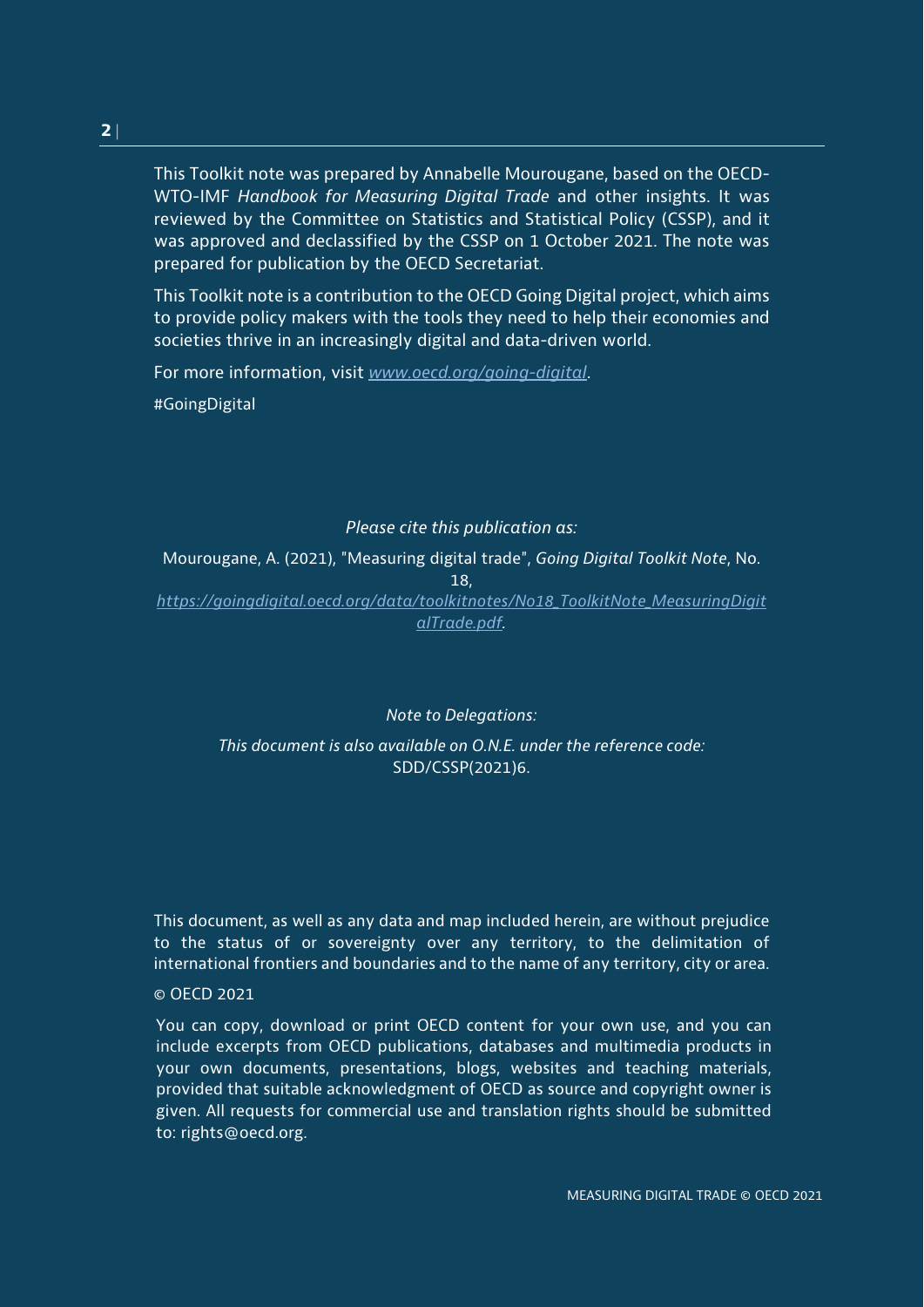This Toolkit note was prepared by Annabelle Mourougane, based on the OECD-WTO-IMF *Handbook for Measuring Digital Trade* and other insights. It was reviewed by the Committee on Statistics and Statistical Policy (CSSP), and it was approved and declassified by the CSSP on 1 October 2021. The note was prepared for publication by the OECD Secretariat.

This Toolkit note is a contribution to the OECD Going Digital project, which aims to provide policy makers with the tools they need to help their economies and societies thrive in an increasingly digital and data-driven world.

For more information, visit *[www.oecd.org/going-digital](http://www.oecd.org/going-digital)*.

#GoingDigital

## *Please cite this publication as:*

Mourougane, A. (2021), "Measuring digital trade", *Going Digital Toolkit Note*, No. 18, *[https://goingdigital.oecd.org/data/toolkitnotes/No18\\_ToolkitNote\\_MeasuringDigit](https://goingdigital.oecd.org/data/toolkitnotes/No18_ToolkitNote_MeasuringDigitalTrade.pdf)*

*[alTrade.pdf.](https://goingdigital.oecd.org/data/toolkitnotes/No18_ToolkitNote_MeasuringDigitalTrade.pdf)*

*Note to Delegations:*

*This document is also available on O.N.E. under the reference code:* SDD/CSSP(2021)6.

This document, as well as any data and map included herein, are without prejudice to the status of or sovereignty over any territory, to the delimitation of international frontiers and boundaries and to the name of any territory, city or area.

#### © OECD 2021

You can copy, download or print OECD content for your own use, and you can include excerpts from OECD publications, databases and multimedia products in your own documents, presentations, blogs, websites and teaching materials, provided that suitable acknowledgment of OECD as source and copyright owner is given. All requests for commercial use and translation rights should be submitted to: rights@oecd.org.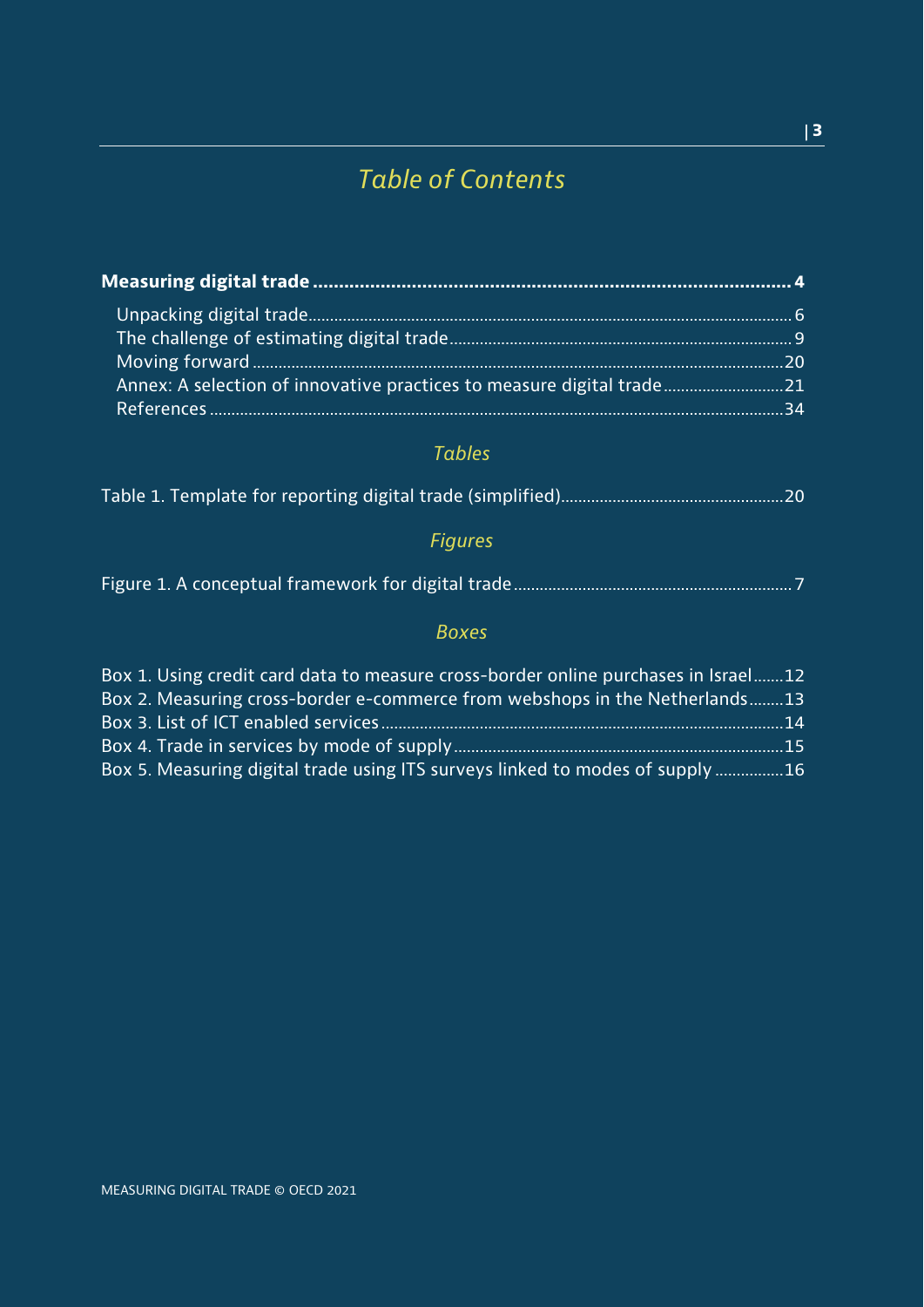## *Table of Contents*

## *Tables*

|--|--|--|--|--|--|

## *Figures*

|--|--|--|--|

## *Boxes*

| Box 1. Using credit card data to measure cross-border online purchases in Israel12 |  |
|------------------------------------------------------------------------------------|--|
| Box 2. Measuring cross-border e-commerce from webshops in the Netherlands13        |  |
|                                                                                    |  |
|                                                                                    |  |
| Box 5. Measuring digital trade using ITS surveys linked to modes of supply 16      |  |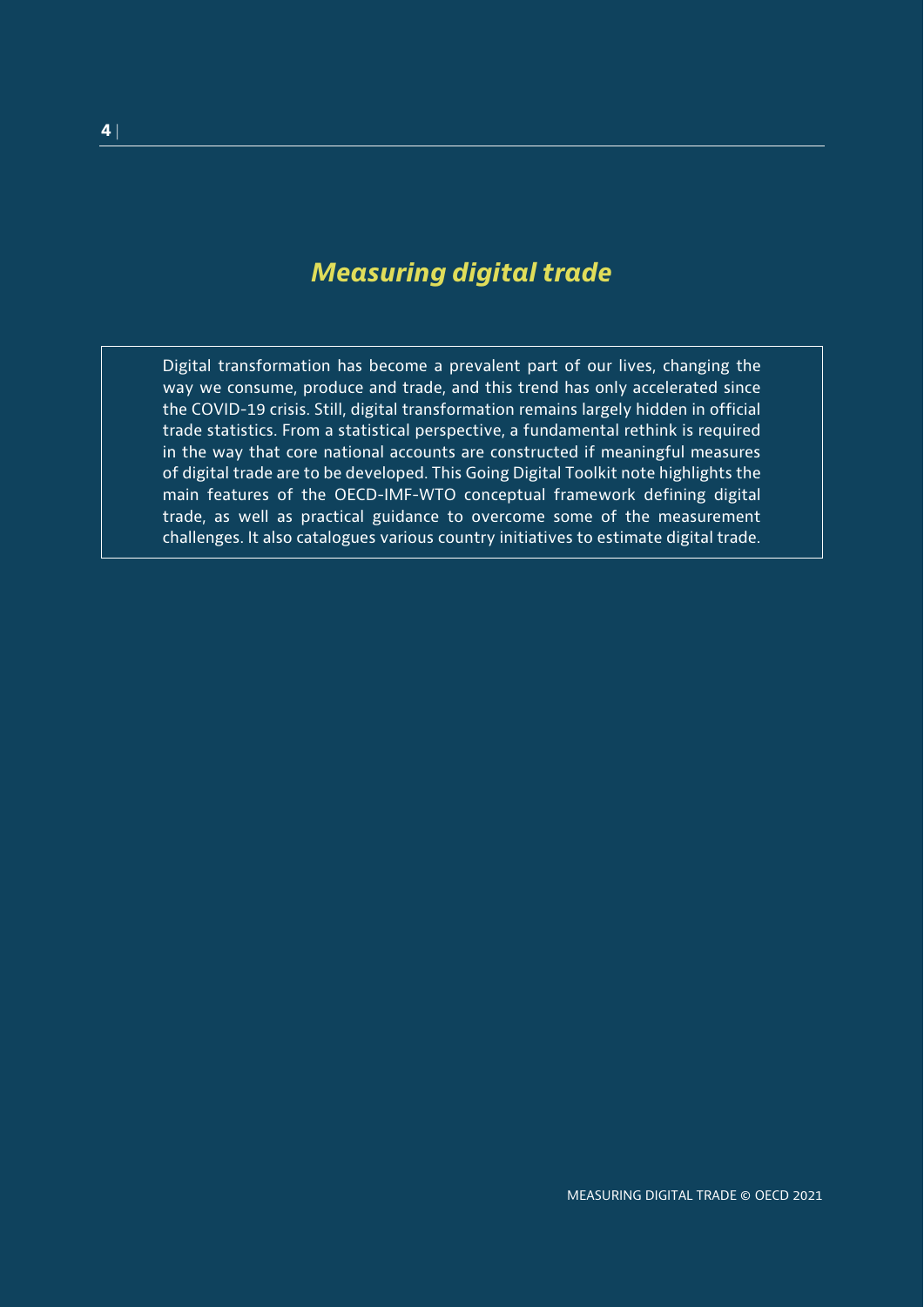## <span id="page-3-0"></span>*Measuring digital trade*

Digital transformation has become a prevalent part of our lives, changing the way we consume, produce and trade, and this trend has only accelerated since the COVID-19 crisis. Still, digital transformation remains largely hidden in official trade statistics. From a statistical perspective, a fundamental rethink is required in the way that core national accounts are constructed if meaningful measures of digital trade are to be developed. This Going Digital Toolkit note highlights the main features of the OECD-IMF-WTO conceptual framework defining digital trade, as well as practical guidance to overcome some of the measurement challenges. It also catalogues various country initiatives to estimate digital trade.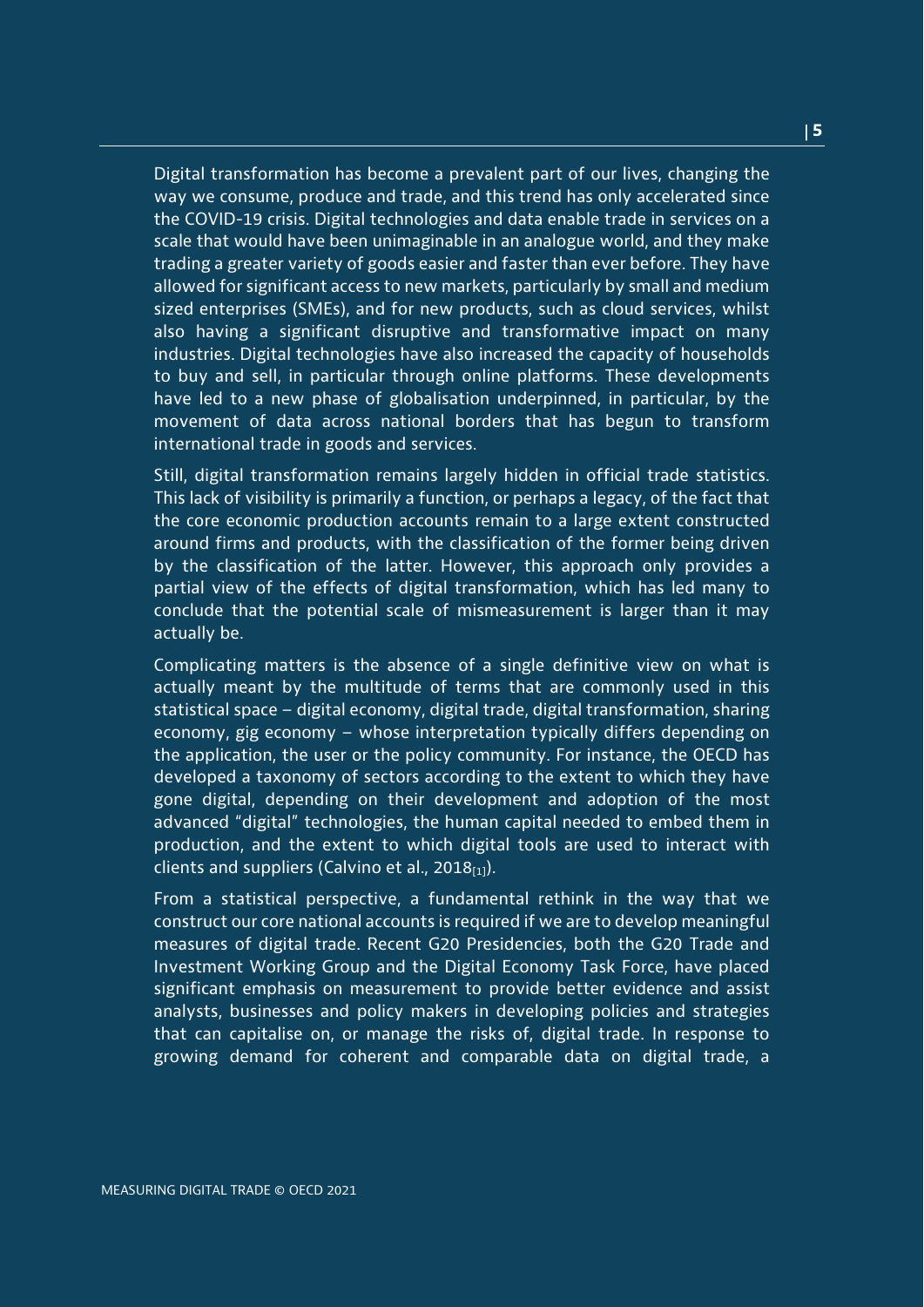Digital transformation has become a prevalent part of our lives, changing the way we consume, produce and trade, and this trend has only accelerated since the COVID-19 crisis. Digital technologies and data enable trade in services on a scale that would have been unimaginable in an analogue world, and they make trading a greater variety of goods easier and faster than ever before. They have allowed for significant access to new markets, particularly by small and medium sized enterprises (SMEs), and for new products, such as cloud services, whilst also having a significant disruptive and transformative impact on many industries. Digital technologies have also increased the capacity of households to buy and sell, in particular through online platforms. These developments have led to a new phase of globalisation underpinned, in particular, by the movement of data across national borders that has begun to transform international trade in goods and services.

Still, digital transformation remains largely hidden in official trade statistics. This lack of visibility is primarily a function, or perhaps a legacy, of the fact that the core economic production accounts remain to a large extent constructed around firms and products, with the classification of the former being driven by the classification of the latter. However, this approach only provides a partial view of the effects of digital transformation, which has led many to conclude that the potential scale of mismeasurement is larger than it may actually be.

Complicating matters is the absence of a single definitive view on what is actually meant by the multitude of terms that are commonly used in this statistical space – digital economy, digital trade, digital transformation, sharing economy, gig economy – whose interpretation typically differs depending on the application, the user or the policy community. For instance, the OECD has developed a taxonomy of sectors according to the extent to which they have gone digital, depending on their development and adoption of the most advanced "digital" technologies, the human capital needed to embed them in production, and the extent to which digital tools are used to interact with clients and suppliers (Calvino et al., 2018 $_{[1]}$ ).

From a statistical perspective, a fundamental rethink in the way that we construct our core national accounts is required if we are to develop meaningful measures of digital trade. Recent G20 Presidencies, both the G20 Trade and Investment Working Group and the Digital Economy Task Force, have placed significant emphasis on measurement to provide better evidence and assist analysts, businesses and policy makers in developing policies and strategies that can capitalise on, or manage the risks of, digital trade. In response to growing demand for coherent and comparable data on digital trade, a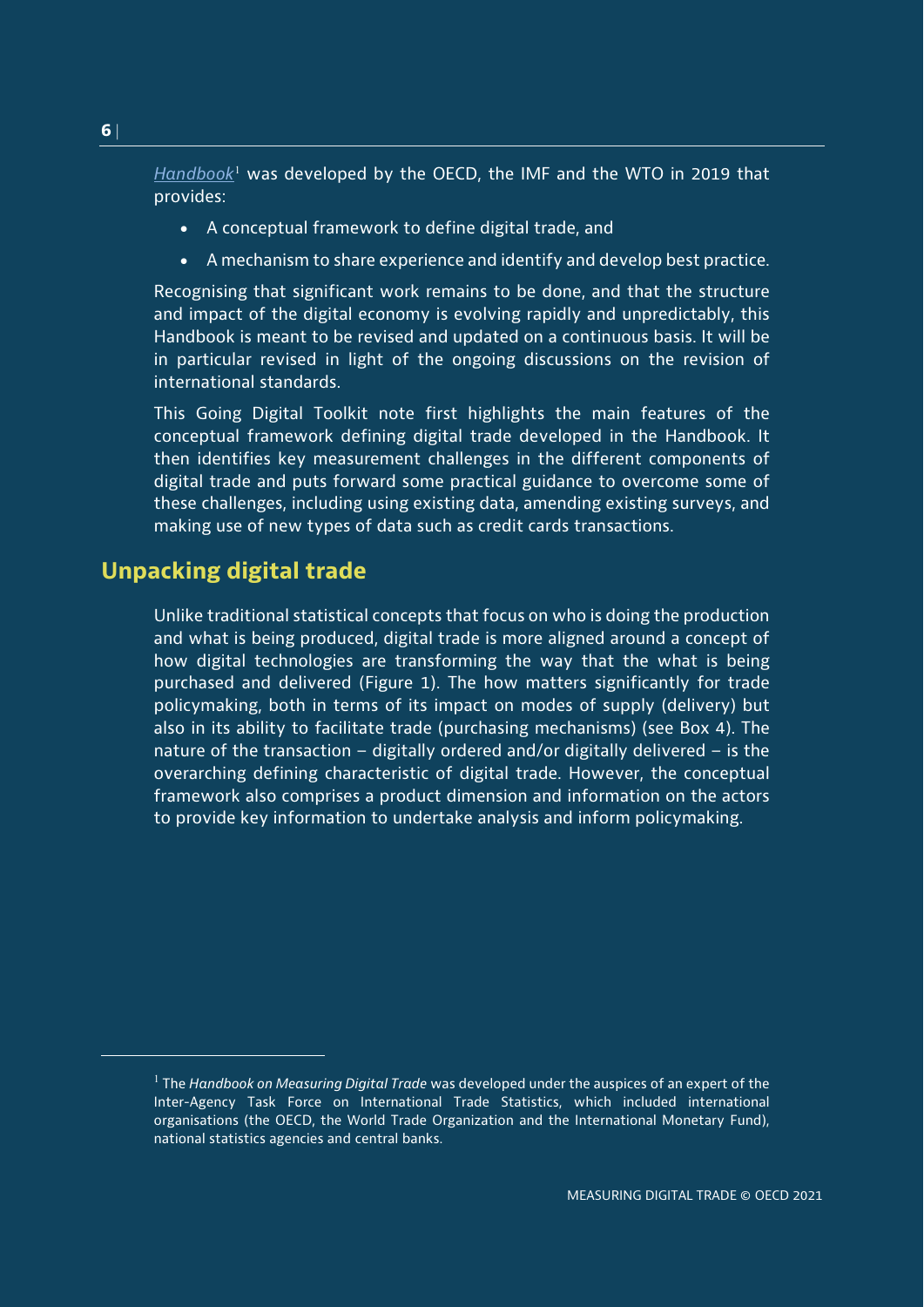*[Handbook](https://www.oecd.org/sdd/its/Handbook-on-Measuring-Digital-Trade-Version-1.pdf)*[1](#page-5-1) was developed by the OECD, the IMF and the WTO in 2019 that provides:

- A conceptual framework to define digital trade, and
- A mechanism to share experience and identify and develop best practice.

Recognising that significant work remains to be done, and that the structure and impact of the digital economy is evolving rapidly and unpredictably, this Handbook is meant to be revised and updated on a continuous basis. It will be in particular revised in light of the ongoing discussions on the revision of international standards.

This Going Digital Toolkit note first highlights the main features of the conceptual framework defining digital trade developed in the Handbook. It then identifies key measurement challenges in the different components of digital trade and puts forward some practical guidance to overcome some of these challenges, including using existing data, amending existing surveys, and making use of new types of data such as credit cards transactions.

## <span id="page-5-0"></span>**Unpacking digital trade**

Unlike traditional statistical concepts that focus on who is doing the production and what is being produced, digital trade is more aligned around a concept of how digital technologies are transforming the way that the what is being purchased and delivered (Figure 1). The how matters significantly for trade policymaking, both in terms of its impact on modes of supply (delivery) but also in its ability to facilitate trade (purchasing mechanisms) (see Box 4). The nature of the transaction – digitally ordered and/or digitally delivered – is the overarching defining characteristic of digital trade. However, the conceptual framework also comprises a product dimension and information on the actors to provide key information to undertake analysis and inform policymaking.

<span id="page-5-1"></span> $\overline{a}$ 

<sup>1</sup> The *Handbook on Measuring Digital Trade* was developed under the auspices of an expert of the Inter-Agency Task Force on International Trade Statistics, which included international organisations (the OECD, the World Trade Organization and the International Monetary Fund), national statistics agencies and central banks.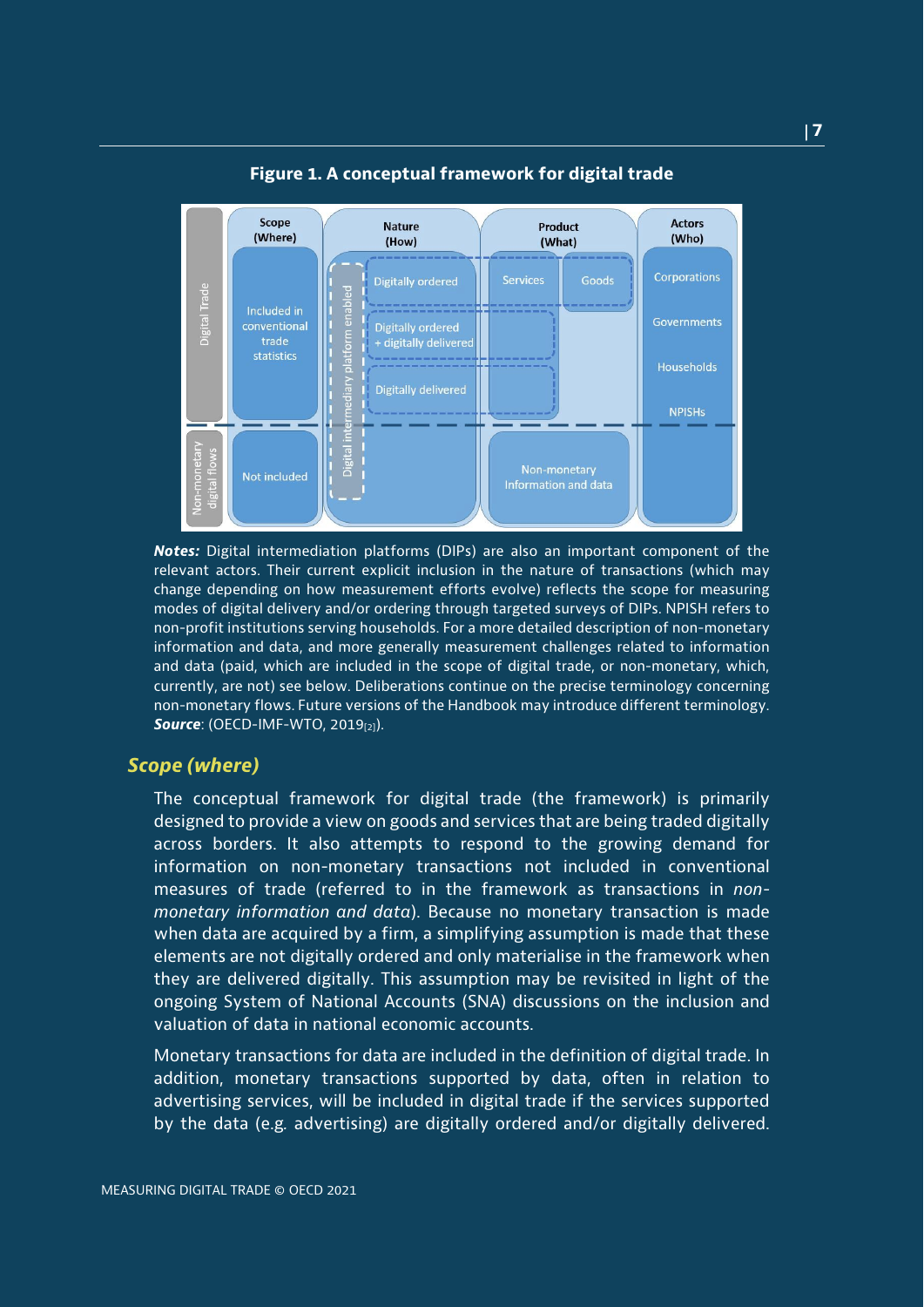<span id="page-6-0"></span>

**Figure 1. A conceptual framework for digital trade**

*Notes:* Digital intermediation platforms (DIPs) are also an important component of the relevant actors. Their current explicit inclusion in the nature of transactions (which may change depending on how measurement efforts evolve) reflects the scope for measuring modes of digital delivery and/or ordering through targeted surveys of DIPs. NPISH refers to non-profit institutions serving households. For a more detailed description of non-monetary information and data, and more generally measurement challenges related to information and data (paid, which are included in the scope of digital trade, or non-monetary, which, currently, are not) see below. Deliberations continue on the precise terminology concerning non-monetary flows. Future versions of the Handbook may introduce different terminology. **Source:** (OECD-IMF-WTO, 2019<sup>[2]</sup>).

## *Scope (where)*

The conceptual framework for digital trade (the framework) is primarily designed to provide a view on goods and services that are being traded digitally across borders. It also attempts to respond to the growing demand for information on non-monetary transactions not included in conventional measures of trade (referred to in the framework as transactions in *nonmonetary information and data*). Because no monetary transaction is made when data are acquired by a firm, a simplifying assumption is made that these elements are not digitally ordered and only materialise in the framework when they are delivered digitally. This assumption may be revisited in light of the ongoing System of National Accounts (SNA) discussions on the inclusion and valuation of data in national economic accounts.

Monetary transactions for data are included in the definition of digital trade. In addition, monetary transactions supported by data, often in relation to advertising services, will be included in digital trade if the services supported by the data (e.g*.* advertising) are digitally ordered and/or digitally delivered.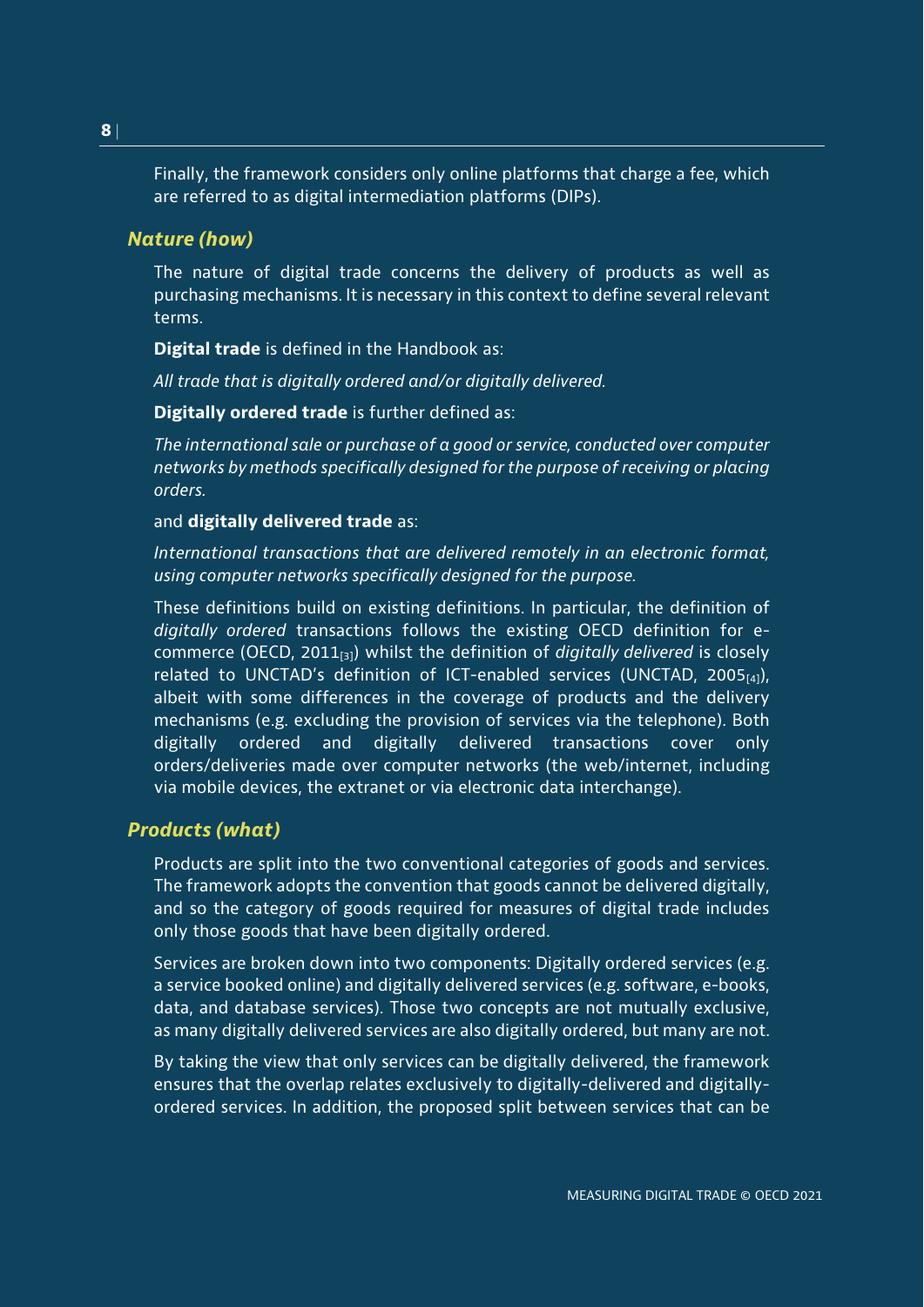Finally, the framework considers only online platforms that charge a fee, which are referred to as digital intermediation platforms (DIPs).

## *Nature (how)*

The nature of digital trade concerns the delivery of products as well as purchasing mechanisms. It is necessary in this context to define several relevant terms.

**Digital trade** is defined in the Handbook as:

*All trade that is digitally ordered and/or digitally delivered.* 

**Digitally ordered trade** is further defined as:

*The international sale or purchase of a good or service, conducted over computer networks by methods specifically designed for the purpose of receiving or placing orders.*

## and **digitally delivered trade** as:

*International transactions that are delivered remotely in an electronic format, using computer networks specifically designed for the purpose.* 

These definitions build on existing definitions. In particular, the definition of *digitally ordered* transactions follows the existing OECD definition for ecommerce (OECD, 2011[3]) whilst the definition of *digitally delivered* is closely related to UNCTAD's definition of ICT-enabled services (UNCTAD, 2005 $_{[4]}$ ), albeit with some differences in the coverage of products and the delivery mechanisms (e.g. excluding the provision of services via the telephone). Both digitally ordered and digitally delivered transactions cover only orders/deliveries made over computer networks (the web/internet, including via mobile devices, the extranet or via electronic data interchange).

## *Products (what)*

Products are split into the two conventional categories of goods and services. The framework adopts the convention that goods cannot be delivered digitally, and so the category of goods required for measures of digital trade includes only those goods that have been digitally ordered.

Services are broken down into two components: Digitally ordered services (e.g. a service booked online) and digitally delivered services (e.g. software, e-books, data, and database services). Those two concepts are not mutually exclusive, as many digitally delivered services are also digitally ordered, but many are not.

By taking the view that only services can be digitally delivered, the framework ensures that the overlap relates exclusively to digitally-delivered and digitallyordered services. In addition, the proposed split between services that can be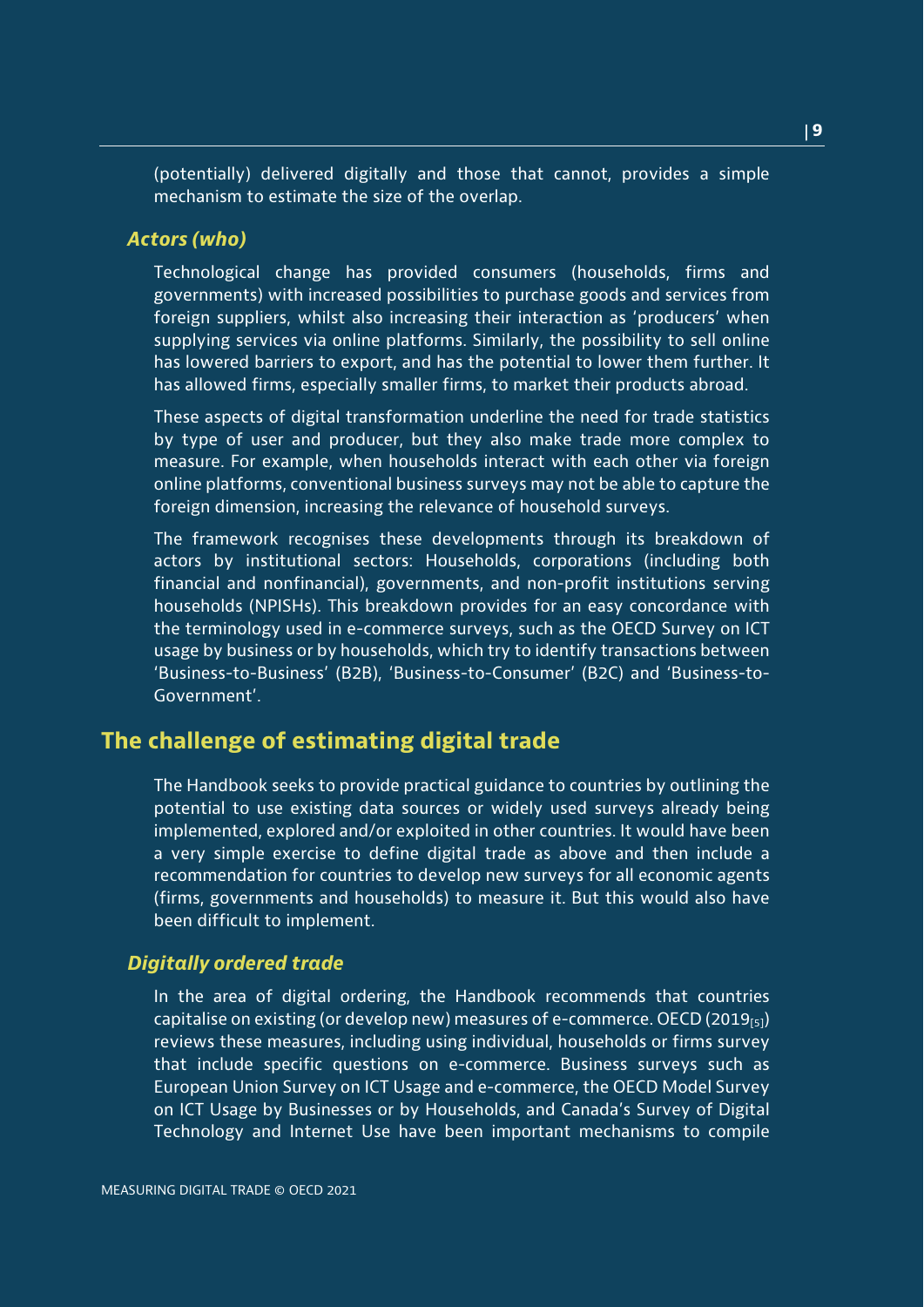(potentially) delivered digitally and those that cannot, provides a simple mechanism to estimate the size of the overlap.

#### *Actors (who)*

Technological change has provided consumers (households, firms and governments) with increased possibilities to purchase goods and services from foreign suppliers, whilst also increasing their interaction as 'producers' when supplying services via online platforms. Similarly, the possibility to sell online has lowered barriers to export, and has the potential to lower them further. It has allowed firms, especially smaller firms, to market their products abroad.

These aspects of digital transformation underline the need for trade statistics by type of user and producer, but they also make trade more complex to measure. For example, when households interact with each other via foreign online platforms, conventional business surveys may not be able to capture the foreign dimension, increasing the relevance of household surveys.

The framework recognises these developments through its breakdown of actors by institutional sectors: Households, corporations (including both financial and nonfinancial), governments, and non-profit institutions serving households (NPISHs). This breakdown provides for an easy concordance with the terminology used in e-commerce surveys, such as the OECD Survey on ICT usage by business or by households, which try to identify transactions between 'Business-to-Business' (B2B), 'Business-to-Consumer' (B2C) and 'Business-to-Government'.

## <span id="page-8-0"></span>**The challenge of estimating digital trade**

The Handbook seeks to provide practical guidance to countries by outlining the potential to use existing data sources or widely used surveys already being implemented, explored and/or exploited in other countries. It would have been a very simple exercise to define digital trade as above and then include a recommendation for countries to develop new surveys for all economic agents (firms, governments and households) to measure it. But this would also have been difficult to implement.

## *Digitally ordered trade*

In the area of digital ordering, the Handbook recommends that countries capitalise on existing (or develop new) measures of e-commerce. OECD (2019 $_{[5]}$ ) reviews these measures, including using individual, households or firms survey that include specific questions on e-commerce. Business surveys such as European Union Survey on ICT Usage and e-commerce, the OECD Model Survey on ICT Usage by Businesses or by Households, and Canada's Survey of Digital Technology and Internet Use have been important mechanisms to compile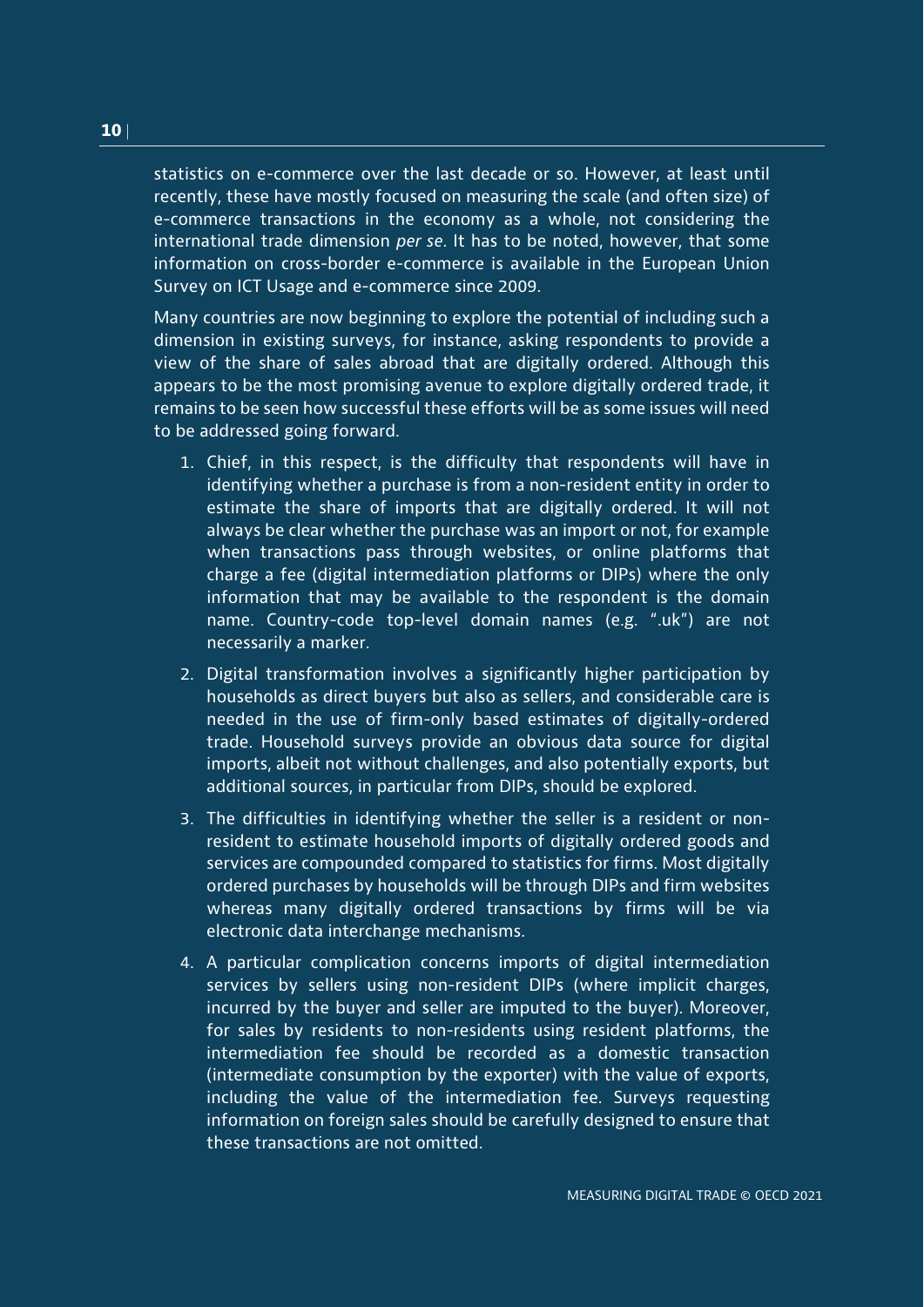statistics on e-commerce over the last decade or so. However, at least until recently, these have mostly focused on measuring the scale (and often size) of e-commerce transactions in the economy as a whole, not considering the international trade dimension *per se*. It has to be noted, however, that some information on cross-border e-commerce is available in the European Union Survey on ICT Usage and e-commerce since 2009.

Many countries are now beginning to explore the potential of including such a dimension in existing surveys, for instance, asking respondents to provide a view of the share of sales abroad that are digitally ordered. Although this appears to be the most promising avenue to explore digitally ordered trade, it remains to be seen how successful these efforts will be as some issues will need to be addressed going forward.

- 1. Chief, in this respect, is the difficulty that respondents will have in identifying whether a purchase is from a non-resident entity in order to estimate the share of imports that are digitally ordered. It will not always be clear whether the purchase was an import or not, for example when transactions pass through websites, or online platforms that charge a fee (digital intermediation platforms or DIPs) where the only information that may be available to the respondent is the domain name. Country-code top-level domain names (e.g. ".uk") are not necessarily a marker.
- 2. Digital transformation involves a significantly higher participation by households as direct buyers but also as sellers, and considerable care is needed in the use of firm-only based estimates of digitally-ordered trade. Household surveys provide an obvious data source for digital imports, albeit not without challenges, and also potentially exports, but additional sources, in particular from DIPs, should be explored.
- 3. The difficulties in identifying whether the seller is a resident or nonresident to estimate household imports of digitally ordered goods and services are compounded compared to statistics for firms. Most digitally ordered purchases by households will be through DIPs and firm websites whereas many digitally ordered transactions by firms will be via electronic data interchange mechanisms.
- 4. A particular complication concerns imports of digital intermediation services by sellers using non-resident DIPs (where implicit charges, incurred by the buyer and seller are imputed to the buyer). Moreover, for sales by residents to non-residents using resident platforms, the intermediation fee should be recorded as a domestic transaction (intermediate consumption by the exporter) with the value of exports, including the value of the intermediation fee. Surveys requesting information on foreign sales should be carefully designed to ensure that these transactions are not omitted.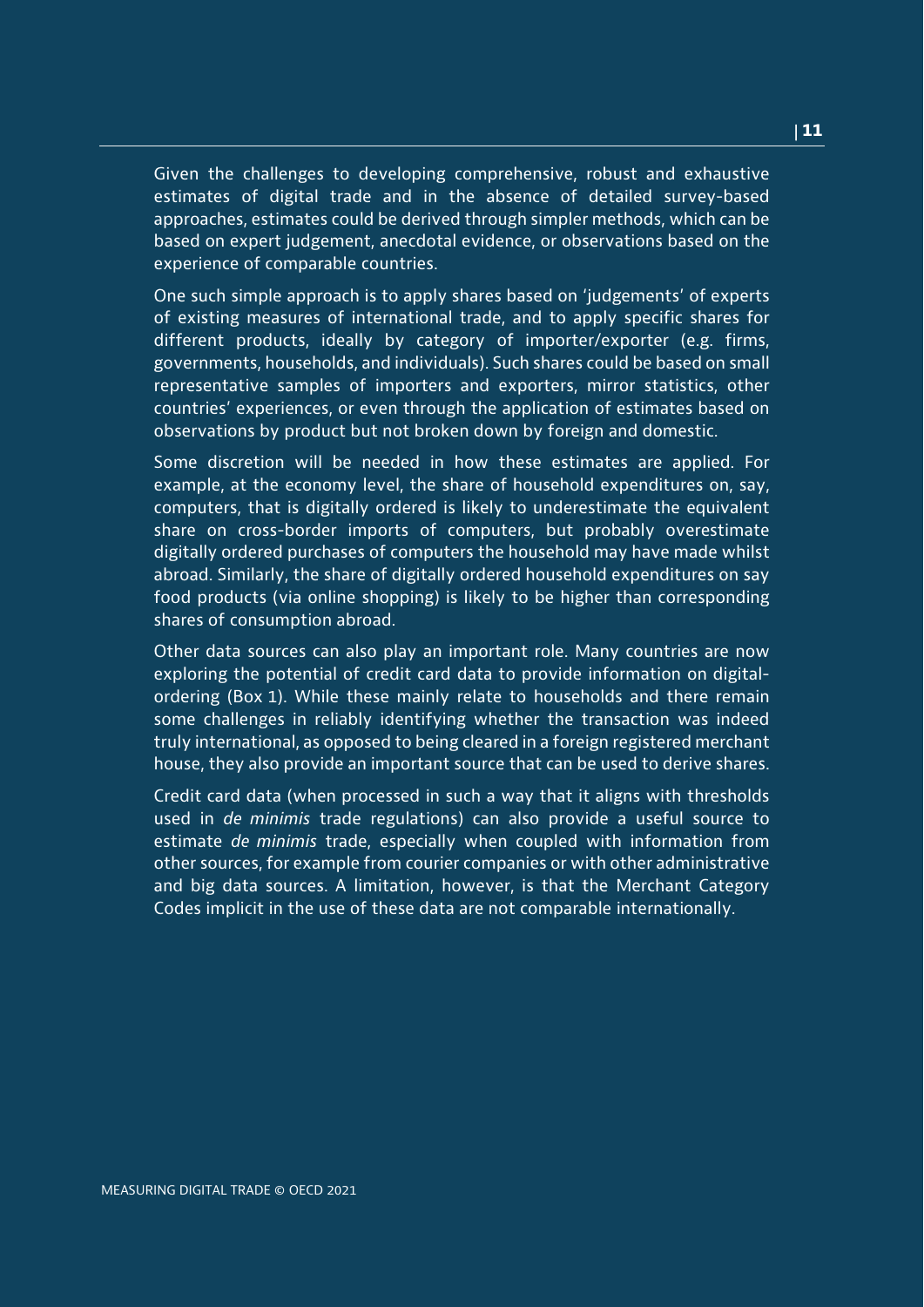Given the challenges to developing comprehensive, robust and exhaustive estimates of digital trade and in the absence of detailed survey-based approaches, estimates could be derived through simpler methods, which can be based on expert judgement, anecdotal evidence, or observations based on the experience of comparable countries.

One such simple approach is to apply shares based on 'judgements' of experts of existing measures of international trade, and to apply specific shares for different products, ideally by category of importer/exporter (e.g. firms, governments, households, and individuals). Such shares could be based on small representative samples of importers and exporters, mirror statistics, other countries' experiences, or even through the application of estimates based on observations by product but not broken down by foreign and domestic.

Some discretion will be needed in how these estimates are applied. For example, at the economy level, the share of household expenditures on, say, computers, that is digitally ordered is likely to underestimate the equivalent share on cross-border imports of computers, but probably overestimate digitally ordered purchases of computers the household may have made whilst abroad. Similarly, the share of digitally ordered household expenditures on say food products (via online shopping) is likely to be higher than corresponding shares of consumption abroad.

Other data sources can also play an important role. Many countries are now exploring the potential of credit card data to provide information on digitalordering (Box 1). While these mainly relate to households and there remain some challenges in reliably identifying whether the transaction was indeed truly international, as opposed to being cleared in a foreign registered merchant house, they also provide an important source that can be used to derive shares.

Credit card data (when processed in such a way that it aligns with thresholds used in *de minimis* trade regulations) can also provide a useful source to estimate *de minimis* trade, especially when coupled with information from other sources, for example from courier companies or with other administrative and big data sources. A limitation, however, is that the Merchant Category Codes implicit in the use of these data are not comparable internationally.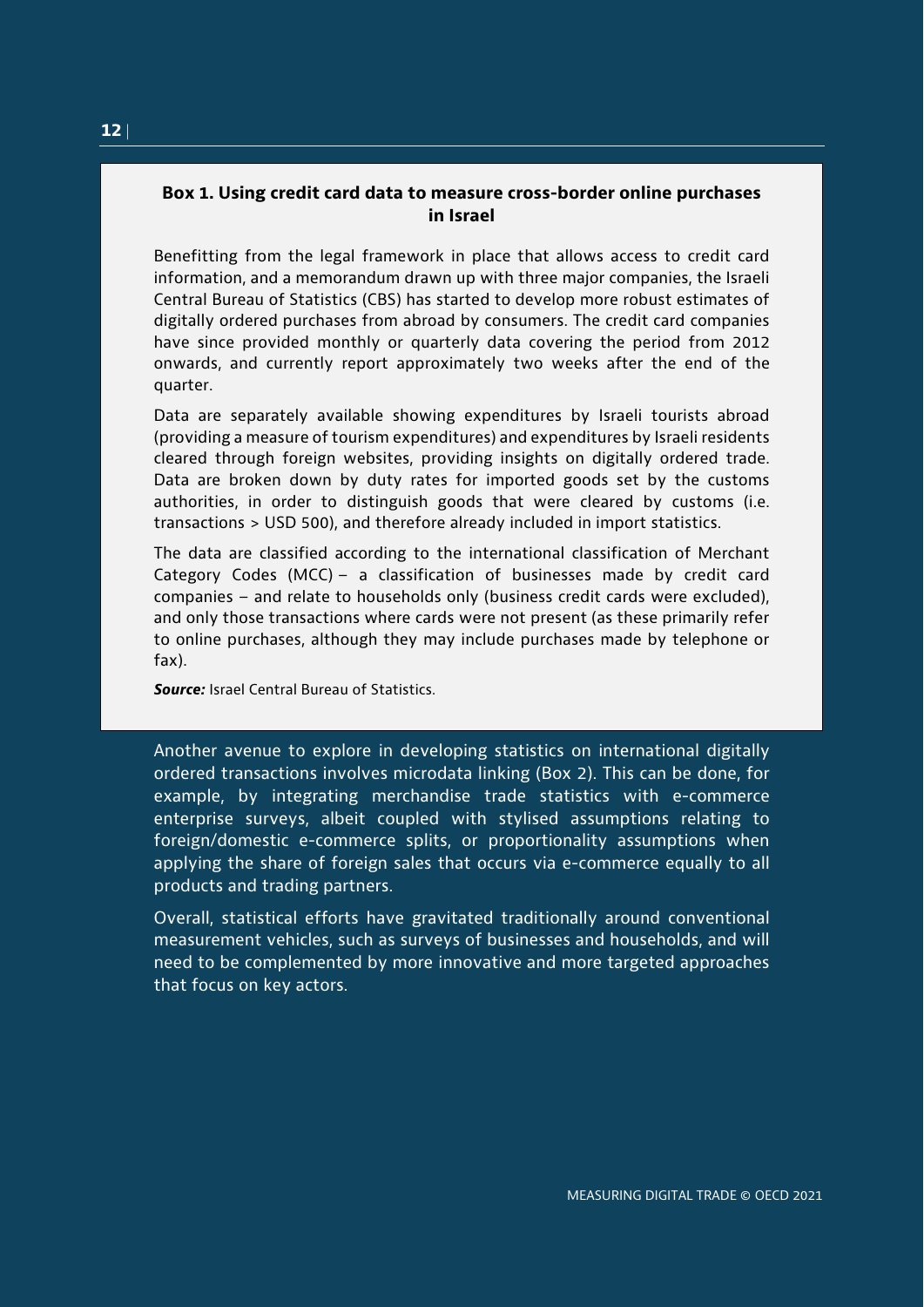## <span id="page-11-0"></span>**Box 1. Using credit card data to measure cross-border online purchases in Israel**

Benefitting from the legal framework in place that allows access to credit card information, and a memorandum drawn up with three major companies, the Israeli Central Bureau of Statistics (CBS) has started to develop more robust estimates of digitally ordered purchases from abroad by consumers. The credit card companies have since provided monthly or quarterly data covering the period from 2012 onwards, and currently report approximately two weeks after the end of the quarter.

Data are separately available showing expenditures by Israeli tourists abroad (providing a measure of tourism expenditures) and expenditures by Israeli residents cleared through foreign websites, providing insights on digitally ordered trade. Data are broken down by duty rates for imported goods set by the customs authorities, in order to distinguish goods that were cleared by customs (i.e. transactions > USD 500), and therefore already included in import statistics.

The data are classified according to the international classification of Merchant Category Codes (MCC) – a classification of businesses made by credit card companies – and relate to households only (business credit cards were excluded), and only those transactions where cards were not present (as these primarily refer to online purchases, although they may include purchases made by telephone or fax).

*Source:* Israel Central Bureau of Statistics.

Another avenue to explore in developing statistics on international digitally ordered transactions involves microdata linking (Box 2). This can be done, for example, by integrating merchandise trade statistics with e-commerce enterprise surveys, albeit coupled with stylised assumptions relating to foreign/domestic e-commerce splits, or proportionality assumptions when applying the share of foreign sales that occurs via e-commerce equally to all products and trading partners.

Overall, statistical efforts have gravitated traditionally around conventional measurement vehicles, such as surveys of businesses and households, and will need to be complemented by more innovative and more targeted approaches that focus on key actors.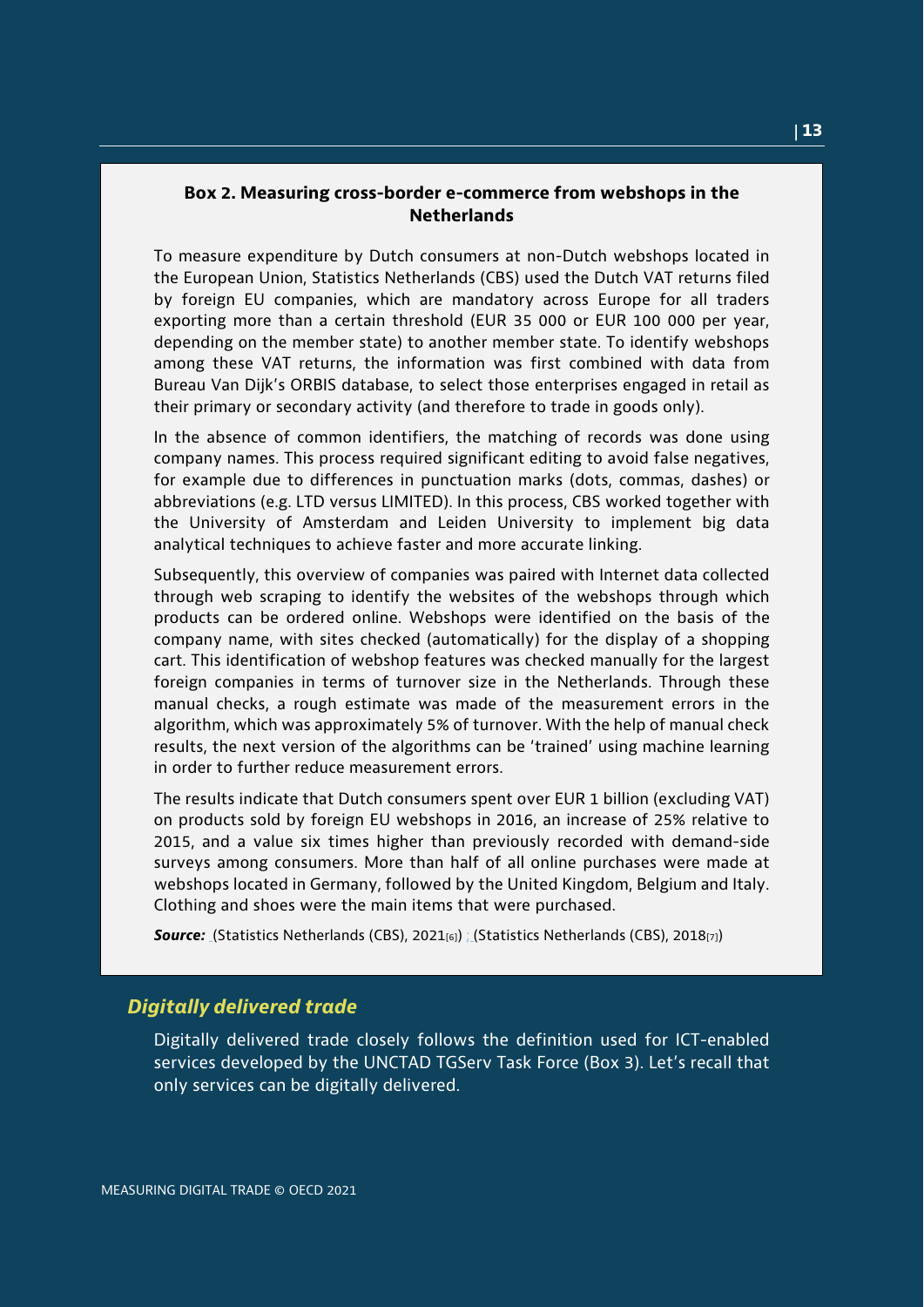### <span id="page-12-0"></span>**Box 2. Measuring cross-border e-commerce from webshops in the Netherlands**

To measure expenditure by Dutch consumers at non-Dutch webshops located in the European Union, Statistics Netherlands (CBS) used the Dutch VAT returns filed by foreign EU companies, which are mandatory across Europe for all traders exporting more than a certain threshold (EUR 35 000 or EUR 100 000 per year, depending on the member state) to another member state. To identify webshops among these VAT returns, the information was first combined with data from Bureau Van Dijk's ORBIS database, to select those enterprises engaged in retail as their primary or secondary activity (and therefore to trade in goods only).

In the absence of common identifiers, the matching of records was done using company names. This process required significant editing to avoid false negatives, for example due to differences in punctuation marks (dots, commas, dashes) or abbreviations (e.g. LTD versus LIMITED). In this process, CBS worked together with the University of Amsterdam and Leiden University to implement big data analytical techniques to achieve faster and more accurate linking.

Subsequently, this overview of companies was paired with Internet data collected through web scraping to identify the websites of the webshops through which products can be ordered online. Webshops were identified on the basis of the company name, with sites checked (automatically) for the display of a shopping cart. This identification of webshop features was checked manually for the largest foreign companies in terms of turnover size in the Netherlands. Through these manual checks, a rough estimate was made of the measurement errors in the algorithm, which was approximately 5% of turnover. With the help of manual check results, the next version of the algorithms can be 'trained' using machine learning in order to further reduce measurement errors.

The results indicate that Dutch consumers spent over EUR 1 billion (excluding VAT) on products sold by foreign EU webshops in 2016, an increase of 25% relative to 2015, and a value six times higher than previously recorded with demand-side surveys among consumers. More than half of all online purchases were made at webshops located in Germany, followed by the United Kingdom, Belgium and Italy. Clothing and shoes were the main items that were purchased.

**Source:** (Statistics Netherlands (CBS), 2021<sub>[6]</sub>) (Statistics Netherlands (CBS), 2018<sub>[7]</sub>)

#### *Digitally delivered trade*

Digitally delivered trade closely follows the definition used for ICT-enabled services developed by the UNCTAD TGServ Task Force (Box 3). Let's recall that only services can be digitally delivered.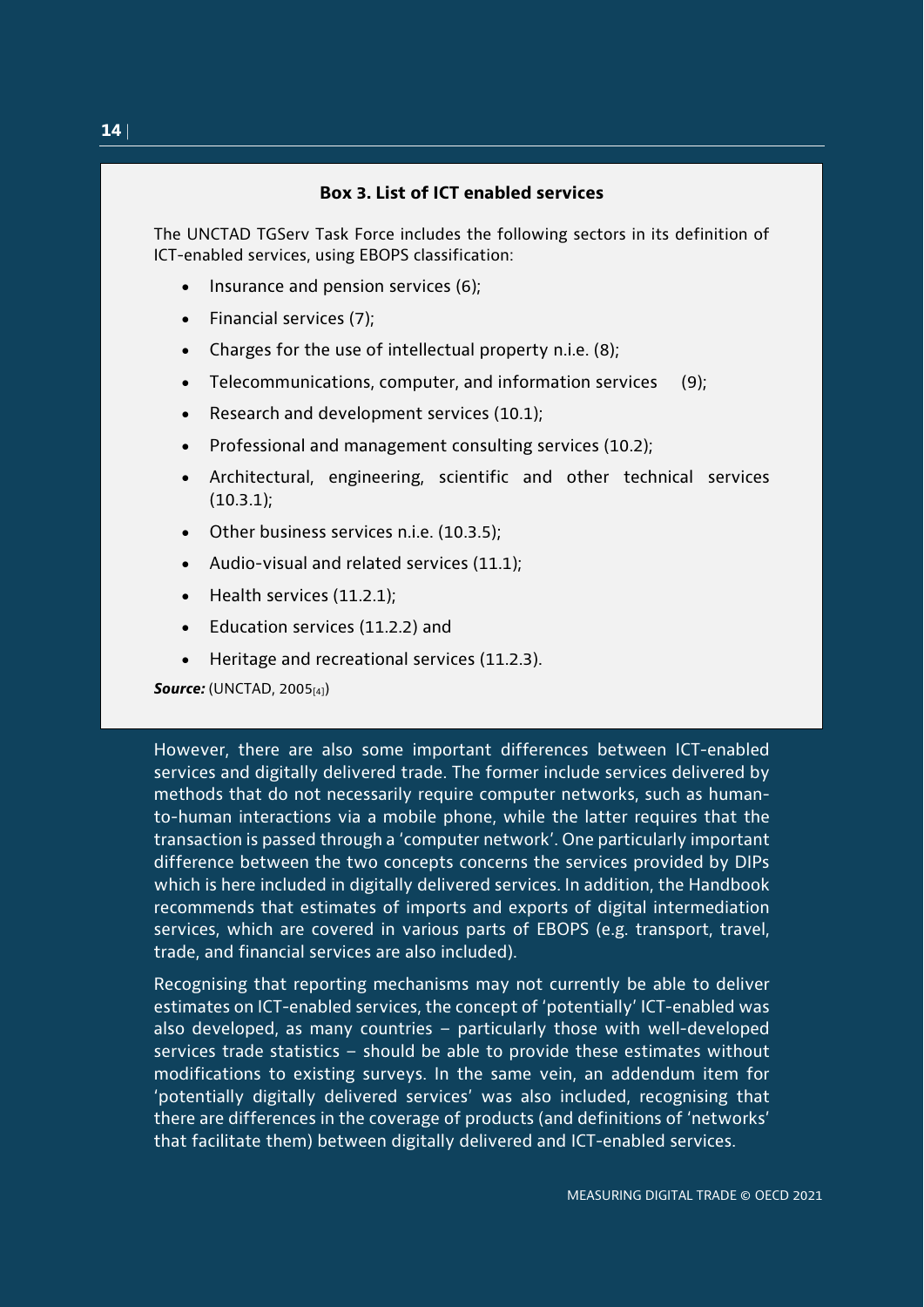### **Box 3. List of ICT enabled services**

<span id="page-13-0"></span>The UNCTAD TGServ Task Force includes the following sectors in its definition of ICT-enabled services, using EBOPS classification:

- Insurance and pension services (6);
- Financial services (7);
- Charges for the use of intellectual property n.i.e. (8);
- Telecommunications, computer, and information services (9);
- Research and development services (10.1);
- Professional and management consulting services (10.2);
- Architectural, engineering, scientific and other technical services (10.3.1);
- Other business services n.i.e. (10.3.5);
- Audio-visual and related services (11.1);
- Health services (11.2.1);
- Education services (11.2.2) and
- Heritage and recreational services (11.2.3).

*Source: (UNCTAD, 2005[4])* 

However, there are also some important differences between ICT-enabled services and digitally delivered trade. The former include services delivered by methods that do not necessarily require computer networks, such as humanto-human interactions via a mobile phone, while the latter requires that the transaction is passed through a 'computer network'. One particularly important difference between the two concepts concerns the services provided by DIPs which is here included in digitally delivered services. In addition, the Handbook recommends that estimates of imports and exports of digital intermediation services, which are covered in various parts of EBOPS (e.g. transport, travel, trade, and financial services are also included).

Recognising that reporting mechanisms may not currently be able to deliver estimates on ICT-enabled services, the concept of 'potentially' ICT-enabled was also developed, as many countries – particularly those with well-developed services trade statistics – should be able to provide these estimates without modifications to existing surveys. In the same vein, an addendum item for 'potentially digitally delivered services' was also included, recognising that there are differences in the coverage of products (and definitions of 'networks' that facilitate them) between digitally delivered and ICT-enabled services.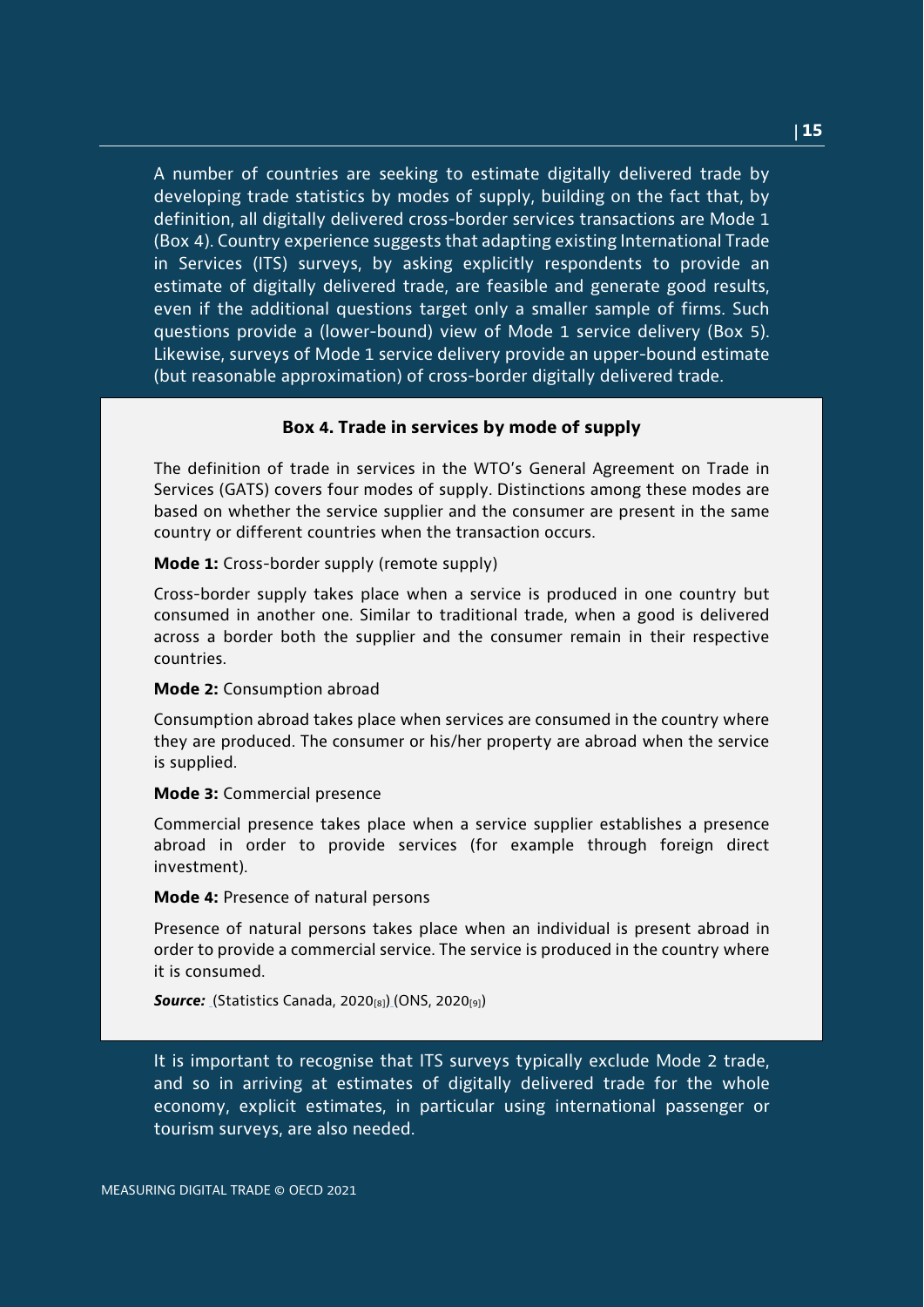A number of countries are seeking to estimate digitally delivered trade by developing trade statistics by modes of supply, building on the fact that, by definition, all digitally delivered cross-border services transactions are Mode 1 (Box 4). Country experience suggests that adapting existing International Trade in Services (ITS) surveys, by asking explicitly respondents to provide an estimate of digitally delivered trade, are feasible and generate good results, even if the additional questions target only a smaller sample of firms. Such questions provide a (lower-bound) view of Mode 1 service delivery (Box 5). Likewise, surveys of Mode 1 service delivery provide an upper-bound estimate (but reasonable approximation) of cross-border digitally delivered trade.

#### **Box 4. Trade in services by mode of supply**

<span id="page-14-0"></span>The definition of trade in services in the WTO's General Agreement on Trade in Services (GATS) covers four modes of supply. Distinctions among these modes are based on whether the service supplier and the consumer are present in the same country or different countries when the transaction occurs.

**Mode 1:** Cross-border supply (remote supply)

Cross-border supply takes place when a service is produced in one country but consumed in another one. Similar to traditional trade, when a good is delivered across a border both the supplier and the consumer remain in their respective countries.

#### **Mode 2:** Consumption abroad

Consumption abroad takes place when services are consumed in the country where they are produced. The consumer or his/her property are abroad when the service is supplied.

#### **Mode 3:** Commercial presence

Commercial presence takes place when a service supplier establishes a presence abroad in order to provide services (for example through foreign direct investment).

#### **Mode 4:** Presence of natural persons

Presence of natural persons takes place when an individual is present abroad in order to provide a commercial service. The service is produced in the country where it is consumed.

**Source:** (Statistics Canada, 2020[8]) (ONS, 2020[9])

It is important to recognise that ITS surveys typically exclude Mode 2 trade, and so in arriving at estimates of digitally delivered trade for the whole economy, explicit estimates, in particular using international passenger or tourism surveys, are also needed.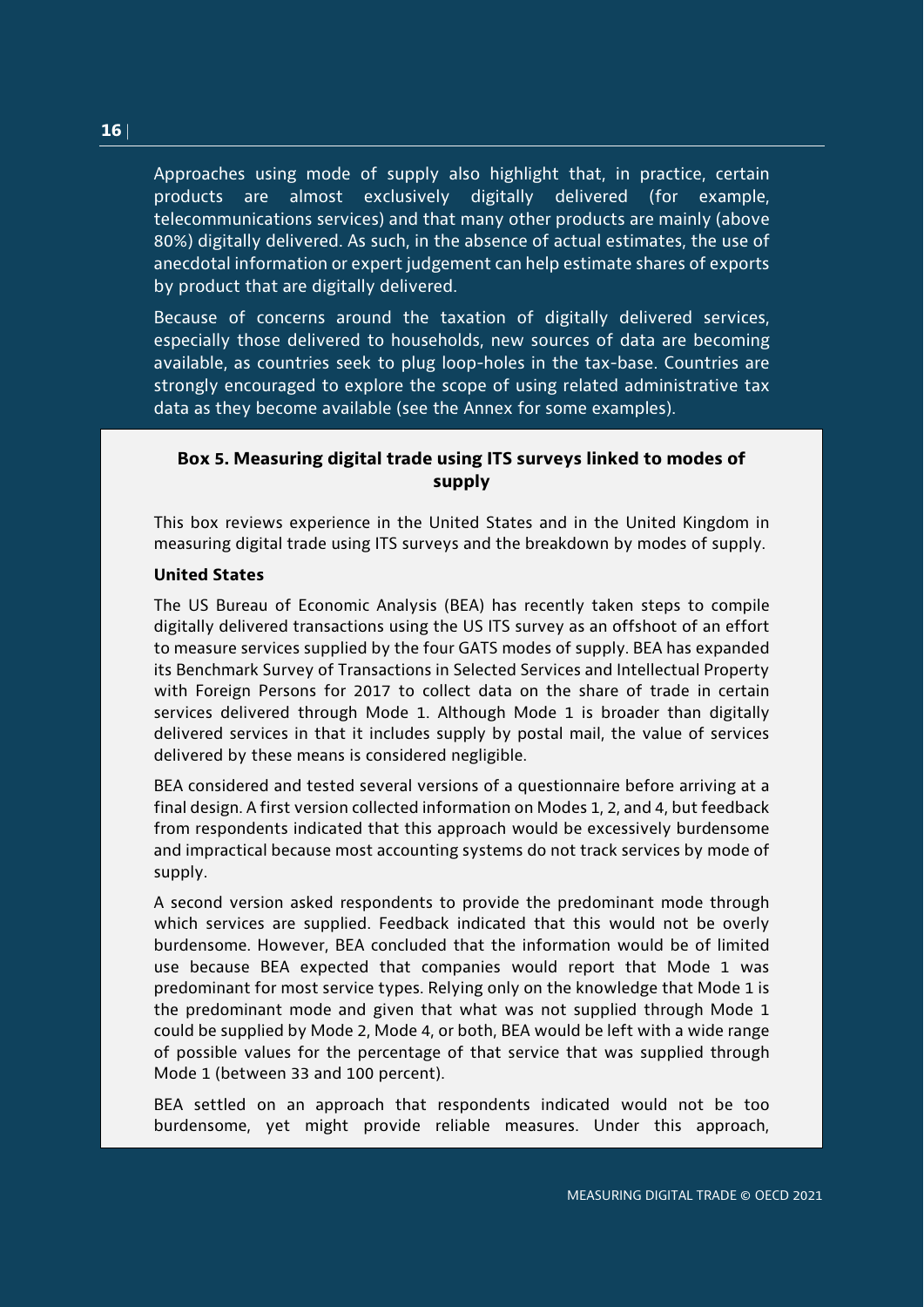Approaches using mode of supply also highlight that, in practice, certain products are almost exclusively digitally delivered (for example, telecommunications services) and that many other products are mainly (above 80%) digitally delivered. As such, in the absence of actual estimates, the use of anecdotal information or expert judgement can help estimate shares of exports by product that are digitally delivered.

Because of concerns around the taxation of digitally delivered services, especially those delivered to households, new sources of data are becoming available, as countries seek to plug loop-holes in the tax-base. Countries are strongly encouraged to explore the scope of using related administrative tax data as they become available (see the Annex for some examples).

## <span id="page-15-0"></span>**Box 5. Measuring digital trade using ITS surveys linked to modes of supply**

This box reviews experience in the United States and in the United Kingdom in measuring digital trade using ITS surveys and the breakdown by modes of supply.

### **United States**

The US Bureau of Economic Analysis (BEA) has recently taken steps to compile digitally delivered transactions using the US ITS survey as an offshoot of an effort to measure services supplied by the four GATS modes of supply. BEA has expanded its Benchmark Survey of Transactions in Selected Services and Intellectual Property with Foreign Persons for 2017 to collect data on the share of trade in certain services delivered through Mode 1. Although Mode 1 is broader than digitally delivered services in that it includes supply by postal mail, the value of services delivered by these means is considered negligible.

BEA considered and tested several versions of a questionnaire before arriving at a final design. A first version collected information on Modes 1, 2, and 4, but feedback from respondents indicated that this approach would be excessively burdensome and impractical because most accounting systems do not track services by mode of supply.

A second version asked respondents to provide the predominant mode through which services are supplied. Feedback indicated that this would not be overly burdensome. However, BEA concluded that the information would be of limited use because BEA expected that companies would report that Mode 1 was predominant for most service types. Relying only on the knowledge that Mode 1 is the predominant mode and given that what was not supplied through Mode 1 could be supplied by Mode 2, Mode 4, or both, BEA would be left with a wide range of possible values for the percentage of that service that was supplied through Mode 1 (between 33 and 100 percent).

BEA settled on an approach that respondents indicated would not be too burdensome, yet might provide reliable measures. Under this approach,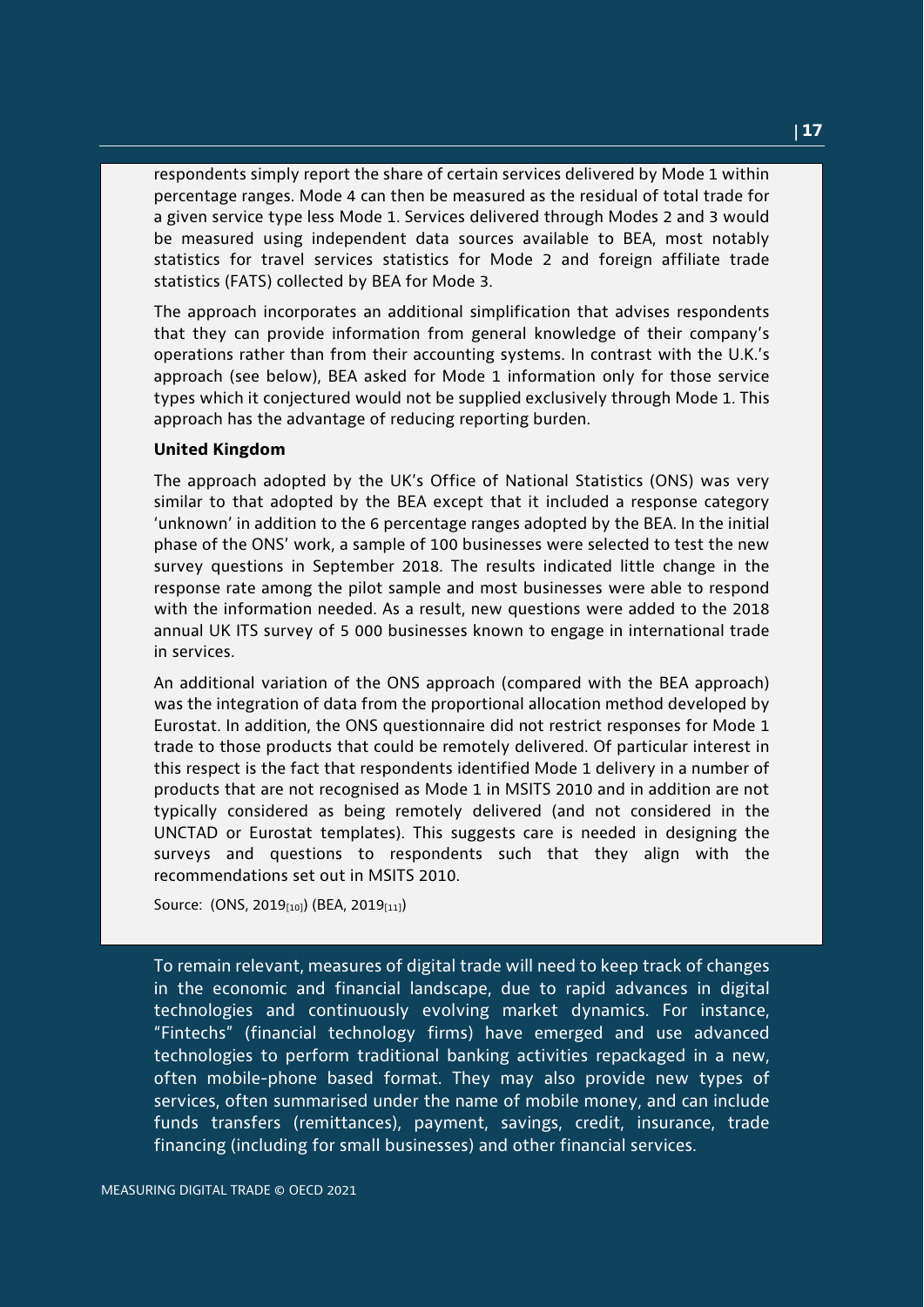respondents simply report the share of certain services delivered by Mode 1 within percentage ranges. Mode 4 can then be measured as the residual of total trade for a given service type less Mode 1. Services delivered through Modes 2 and 3 would be measured using independent data sources available to BEA, most notably statistics for travel services statistics for Mode 2 and foreign affiliate trade statistics (FATS) collected by BEA for Mode 3.

The approach incorporates an additional simplification that advises respondents that they can provide information from general knowledge of their company's operations rather than from their accounting systems. In contrast with the U.K.'s approach (see below), BEA asked for Mode 1 information only for those service types which it conjectured would not be supplied exclusively through Mode 1. This approach has the advantage of reducing reporting burden.

#### **United Kingdom**

The approach adopted by the UK's Office of National Statistics (ONS) was very similar to that adopted by the BEA except that it included a response category 'unknown' in addition to the 6 percentage ranges adopted by the BEA. In the initial phase of the ONS' work, a sample of 100 businesses were selected to test the new survey questions in September 2018. The results indicated little change in the response rate among the pilot sample and most businesses were able to respond with the information needed. As a result, new questions were added to the 2018 annual UK ITS survey of 5 000 businesses known to engage in international trade in services.

An additional variation of the ONS approach (compared with the BEA approach) was the integration of data from the proportional allocation method developed by Eurostat. In addition, the ONS questionnaire did not restrict responses for Mode 1 trade to those products that could be remotely delivered. Of particular interest in this respect is the fact that respondents identified Mode 1 delivery in a number of products that are not recognised as Mode 1 in MSITS 2010 and in addition are not typically considered as being remotely delivered (and not considered in the UNCTAD or Eurostat templates). This suggests care is needed in designing the surveys and questions to respondents such that they align with the recommendations set out in MSITS 2010.

Source: (ONS, 2019[10]) (BEA, 2019[11])

To remain relevant, measures of digital trade will need to keep track of changes in the economic and financial landscape, due to rapid advances in digital technologies and continuously evolving market dynamics. For instance, "Fintechs" (financial technology firms) have emerged and use advanced technologies to perform traditional banking activities repackaged in a new, often mobile-phone based format. They may also provide new types of services, often summarised under the name of mobile money, and can include funds transfers (remittances), payment, savings, credit, insurance, trade financing (including for small businesses) and other financial services.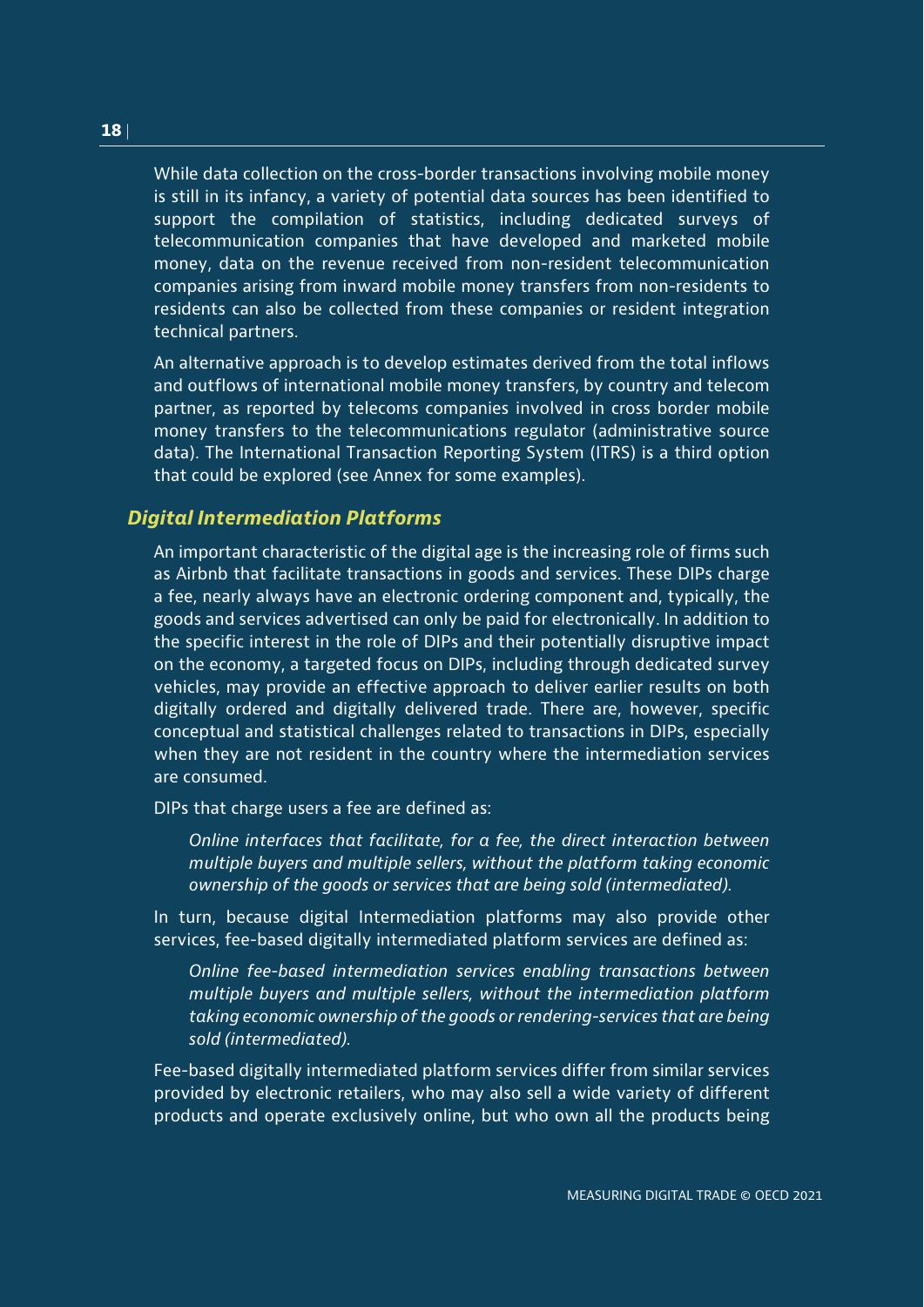While data collection on the cross-border transactions involving mobile money is still in its infancy, a variety of potential data sources has been identified to support the compilation of statistics, including dedicated surveys of telecommunication companies that have developed and marketed mobile money, data on the revenue received from non-resident telecommunication companies arising from inward mobile money transfers from non-residents to residents can also be collected from these companies or resident integration technical partners.

An alternative approach is to develop estimates derived from the total inflows and outflows of international mobile money transfers, by country and telecom partner, as reported by telecoms companies involved in cross border mobile money transfers to the telecommunications regulator (administrative source data). The International Transaction Reporting System (ITRS) is a third option that could be explored (see Annex for some examples).

## *Digital Intermediation Platforms*

An important characteristic of the digital age is the increasing role of firms such as Airbnb that facilitate transactions in goods and services. These DIPs charge a fee, nearly always have an electronic ordering component and, typically, the goods and services advertised can only be paid for electronically. In addition to the specific interest in the role of DIPs and their potentially disruptive impact on the economy, a targeted focus on DIPs, including through dedicated survey vehicles, may provide an effective approach to deliver earlier results on both digitally ordered and digitally delivered trade. There are, however, specific conceptual and statistical challenges related to transactions in DIPs, especially when they are not resident in the country where the intermediation services are consumed.

DIPs that charge users a fee are defined as:

*Online interfaces that facilitate, for a fee, the direct interaction between multiple buyers and multiple sellers, without the platform taking economic ownership of the goods or services that are being sold (intermediated).* 

In turn, because digital Intermediation platforms may also provide other services, fee-based digitally intermediated platform services are defined as:

*Online fee-based intermediation services enabling transactions between multiple buyers and multiple sellers, without the intermediation platform taking economic ownership of the goods or rendering-services that are being sold (intermediated).*

Fee-based digitally intermediated platform services differ from similar services provided by electronic retailers, who may also sell a wide variety of different products and operate exclusively online, but who own all the products being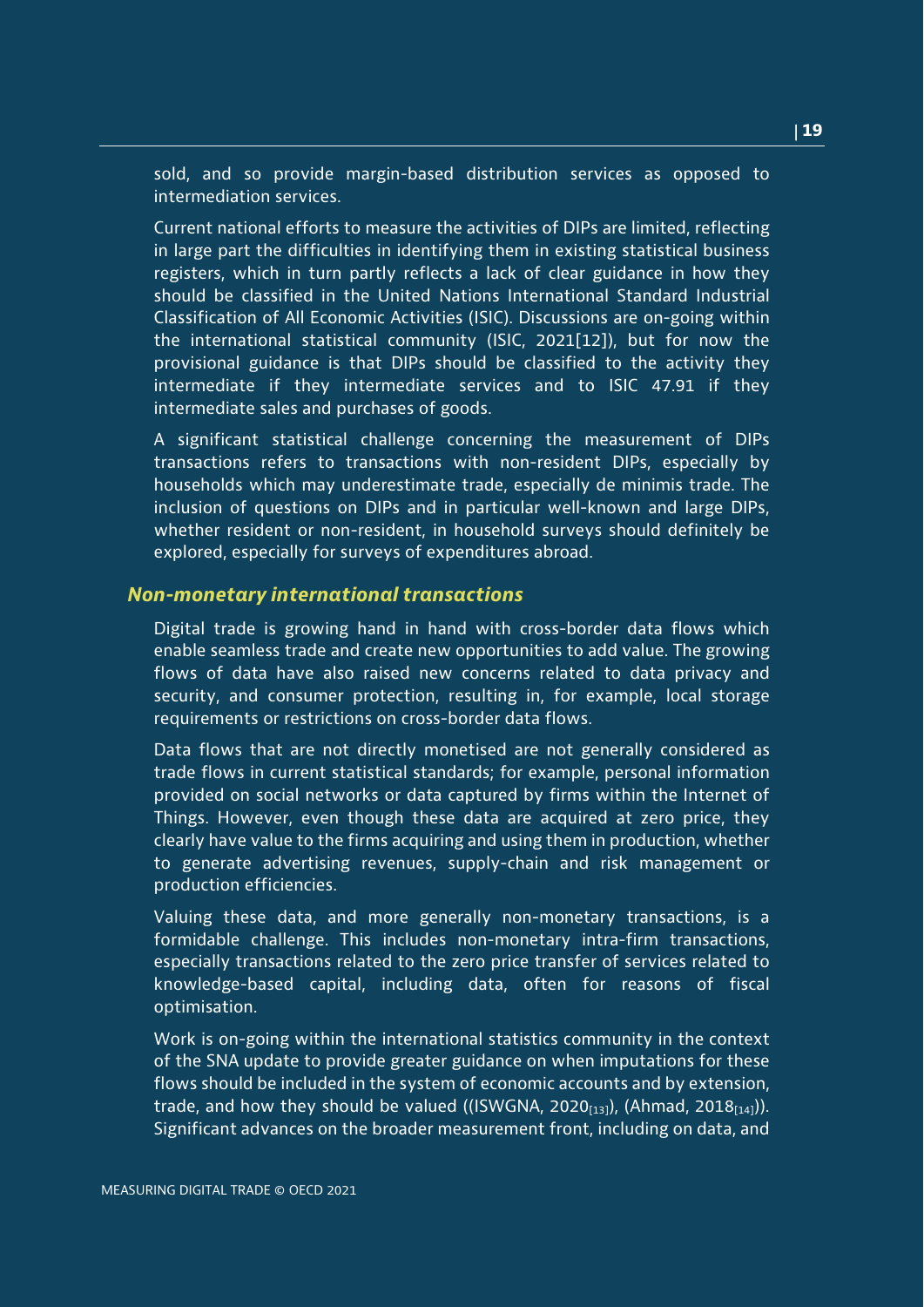sold, and so provide margin-based distribution services as opposed to intermediation services.

Current national efforts to measure the activities of DIPs are limited, reflecting in large part the difficulties in identifying them in existing statistical business registers, which in turn partly reflects a lack of clear guidance in how they should be classified in the United Nations International Standard Industrial Classification of All Economic Activities (ISIC). Discussions are on-going within the international statistical community (ISIC, 2021[12]), but for now the provisional guidance is that DIPs should be classified to the activity they intermediate if they intermediate services and to ISIC 47.91 if they intermediate sales and purchases of goods.

A significant statistical challenge concerning the measurement of DIPs transactions refers to transactions with non-resident DIPs, especially by households which may underestimate trade, especially de minimis trade. The inclusion of questions on DIPs and in particular well-known and large DIPs, whether resident or non-resident, in household surveys should definitely be explored, especially for surveys of expenditures abroad.

### *Non-monetary international transactions*

Digital trade is growing hand in hand with cross-border data flows which enable seamless trade and create new opportunities to add value. The growing flows of data have also raised new concerns related to data privacy and security, and consumer protection, resulting in, for example, local storage requirements or restrictions on cross-border data flows.

Data flows that are not directly monetised are not generally considered as trade flows in current statistical standards; for example, personal information provided on social networks or data captured by firms within the Internet of Things. However, even though these data are acquired at zero price, they clearly have value to the firms acquiring and using them in production, whether to generate advertising revenues, supply-chain and risk management or production efficiencies.

Valuing these data, and more generally non-monetary transactions, is a formidable challenge. This includes non-monetary intra-firm transactions, especially transactions related to the zero price transfer of services related to knowledge-based capital, including data, often for reasons of fiscal optimisation.

Work is on-going within the international statistics community in the context of the SNA update to provide greater guidance on when imputations for these flows should be included in the system of economic accounts and by extension, trade, and how they should be valued ((ISWGNA, 2020 $_{[13]}$ ), (Ahmad, 2018 $_{[14]}$ )). Significant advances on the broader measurement front, including on data, and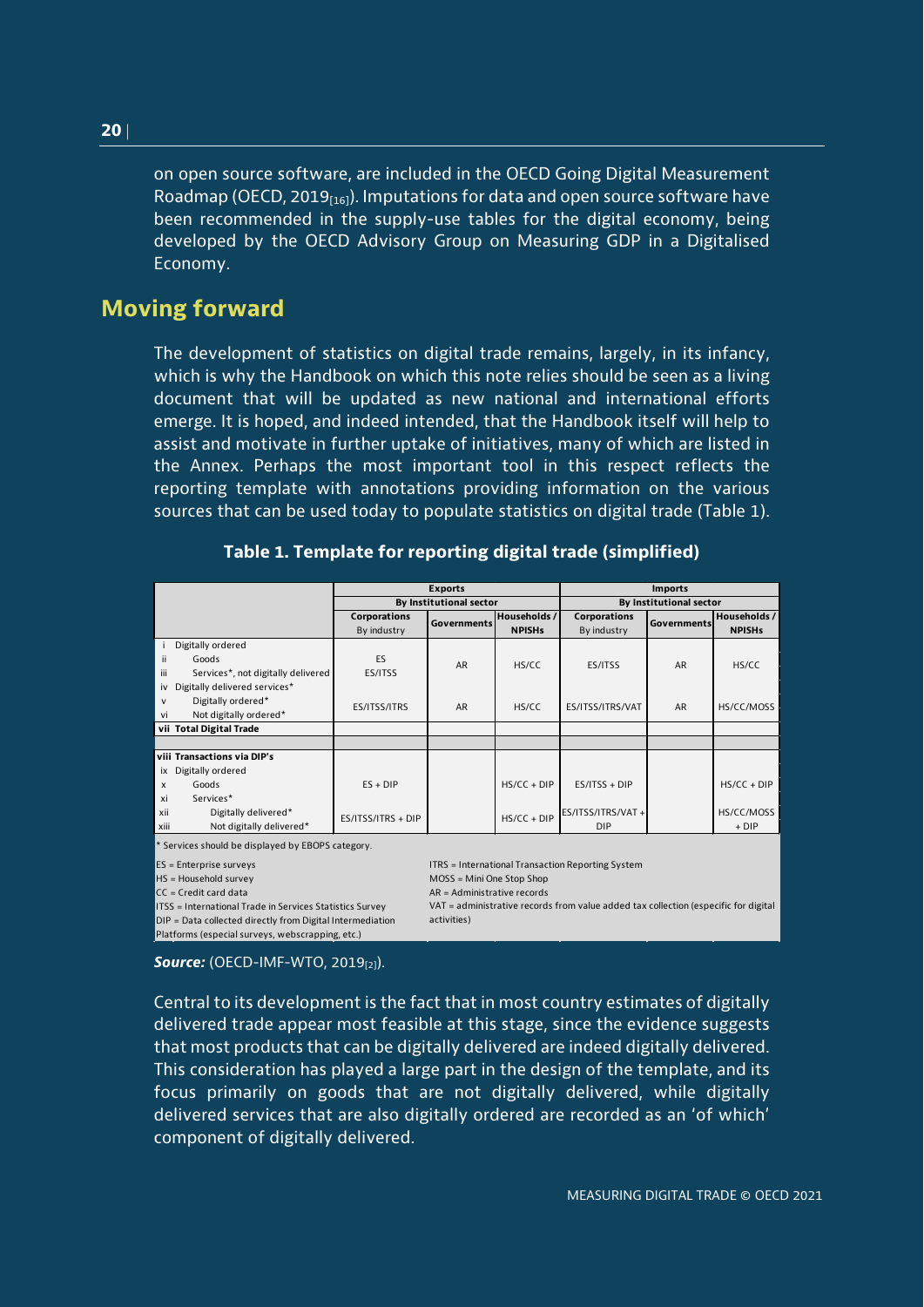on open source software, are included in the OECD Going Digital Measurement Roadmap (OECD, 2019 $_{[16]}$ ). Imputations for data and open source software have been recommended in the supply-use tables for the digital economy, being developed by the OECD Advisory Group on Measuring GDP in a Digitalised Economy.

## <span id="page-19-0"></span>**Moving forward**

The development of statistics on digital trade remains, largely, in its infancy, which is why the Handbook on which this note relies should be seen as a living document that will be updated as new national and international efforts emerge. It is hoped, and indeed intended, that the Handbook itself will help to assist and motivate in further uptake of initiatives, many of which are listed in the Annex. Perhaps the most important tool in this respect reflects the reporting template with annotations providing information on the various sources that can be used today to populate statistics on digital trade (Table 1).

<span id="page-19-1"></span>

|                                           |                         | <b>Exports</b>     |               | <b>Imports</b>          |             |               |
|-------------------------------------------|-------------------------|--------------------|---------------|-------------------------|-------------|---------------|
|                                           | By Institutional sector |                    |               | By Institutional sector |             |               |
|                                           | Corporations            |                    | Households /  | <b>Corporations</b>     |             | Households /  |
|                                           | By industry             | <b>Governments</b> | <b>NPISHs</b> | By industry             | Governments | <b>NPISHs</b> |
| Digitally ordered                         |                         |                    |               |                         |             |               |
| ii<br>Goods                               | ES                      | <b>AR</b>          | HS/CC         | ES/ITSS                 | AR          | HS/CC         |
| iii<br>Services*, not digitally delivered | ES/ITSS                 |                    |               |                         |             |               |
| Digitally delivered services*<br>iv       |                         |                    |               |                         |             |               |
| Digitally ordered*<br>$\mathsf{v}$        | ES/ITSS/ITRS            | AR                 | HS/CC         | ES/ITSS/ITRS/VAT        | <b>AR</b>   | HS/CC/MOSS    |
| Not digitally ordered*<br>vi              |                         |                    |               |                         |             |               |
| vii Total Digital Trade                   |                         |                    |               |                         |             |               |
|                                           |                         |                    |               |                         |             |               |
| viii Transactions via DIP's               |                         |                    |               |                         |             |               |
| Digitally ordered<br>ix                   |                         |                    |               |                         |             |               |
| Goods<br>$\boldsymbol{\mathsf{x}}$        | $ES + DIP$              |                    | $HS/CC + DIP$ | $ES/ITSS + DIP$         |             | $HS/CC + DIP$ |
| xi<br>Services*                           |                         |                    |               |                         |             |               |
| xii<br>Digitally delivered*               | ES/ITSS/ITRS + DIP      |                    | $HS/CC + DIP$ | ES/ITSS/ITRS/VAT +      |             | HS/CC/MOSS    |
| Not digitally delivered*<br>xiii          |                         |                    |               | <b>DIP</b>              |             | $+ DIP$       |

|  |  |  |  | Table 1. Template for reporting digital trade (simplified) |
|--|--|--|--|------------------------------------------------------------|
|--|--|--|--|------------------------------------------------------------|

\* Services should be displayed by EBOPS category.

 $CC = Credit card data$ 

 $DIP = Data collected directly from Digital Intermediation$ Platforms (especial surveys, webscrapping, etc.)

ES = Enterprise surveys and the surveys international Transaction Reporting System<br>ITRS = International Transaction Reporting System<br>ITRS = International Transaction Reporting System

 $MOS = Mini$  One Stop Shop

ITSS = International Trade in Services Statistics Survey VAT = administrative records from value added tax collection (especific for digital (aspecific for digital pre-

**Source:** (OECD-IMF-WTO, 2019<sub>[2]</sub>).

Central to its development is the fact that in most country estimates of digitally delivered trade appear most feasible at this stage, since the evidence suggests that most products that can be digitally delivered are indeed digitally delivered. This consideration has played a large part in the design of the template, and its focus primarily on goods that are not digitally delivered, while digitally delivered services that are also digitally ordered are recorded as an 'of which' component of digitally delivered.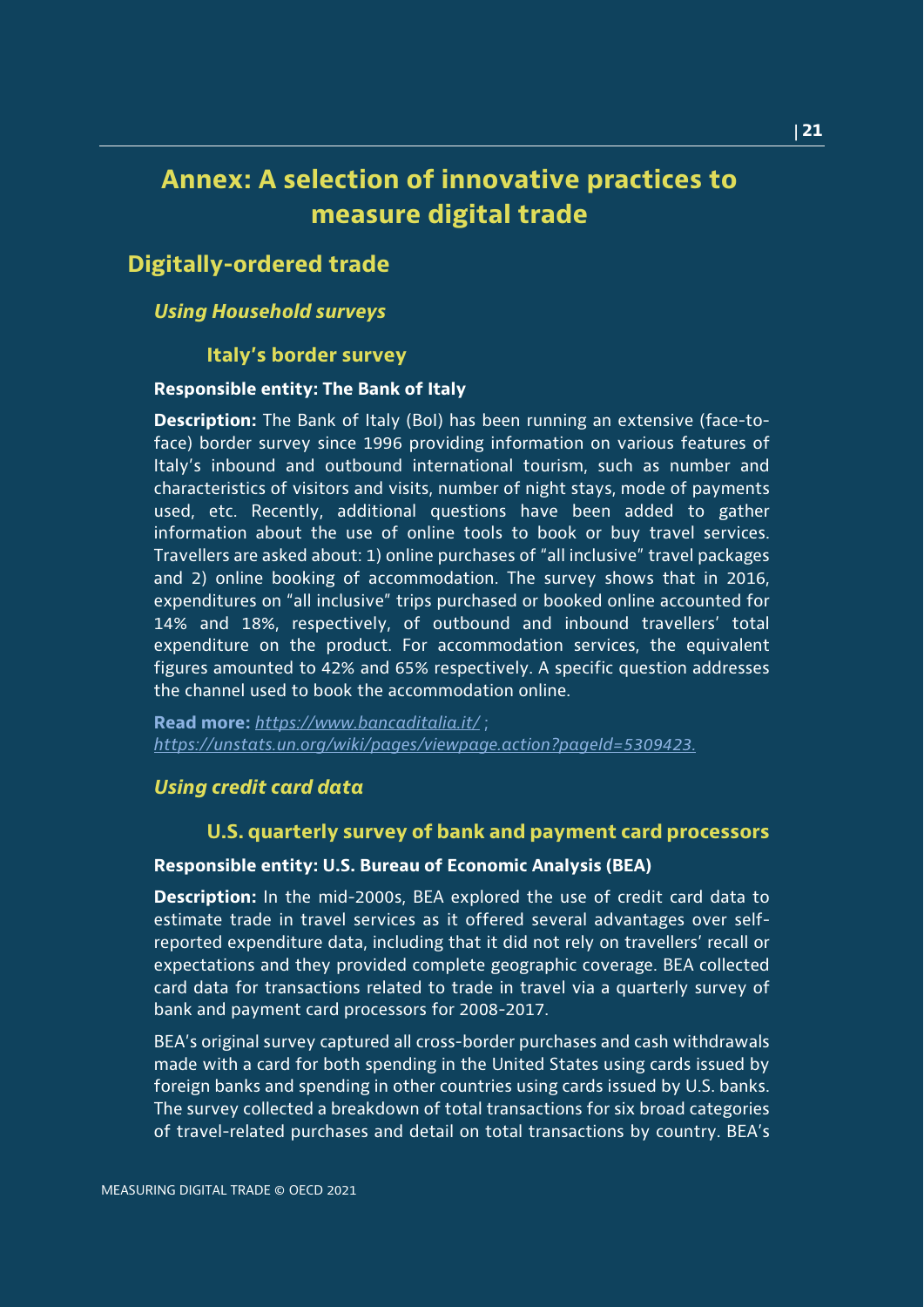## <span id="page-20-0"></span>**Annex: A selection of innovative practices to measure digital trade**

## **Digitally-ordered trade**

## *Using Household surveys*

## **Italy's border survey**

## **Responsible entity: The Bank of Italy**

**Description:** The Bank of Italy (BoI) has been running an extensive (face-toface) border survey since 1996 providing information on various features of Italy's inbound and outbound international tourism, such as number and characteristics of visitors and visits, number of night stays, mode of payments used, etc. Recently, additional questions have been added to gather information about the use of online tools to book or buy travel services. Travellers are asked about: 1) online purchases of "all inclusive" travel packages and 2) online booking of accommodation. The survey shows that in 2016, expenditures on "all inclusive" trips purchased or booked online accounted for 14% and 18%, respectively, of outbound and inbound travellers' total expenditure on the product. For accommodation services, the equivalent figures amounted to 42% and 65% respectively. A specific question addresses the channel used to book the accommodation online.

**Read more:** *<https://www.bancaditalia.it/>* ; *[https://unstats.un.org/wiki/pages/viewpage.action?pageId=5309423.](https://unstats.un.org/wiki/pages/viewpage.action?pageId=5309423)*

## *Using credit card data*

## **U.S. quarterly survey of bank and payment card processors**

### **Responsible entity: U.S. Bureau of Economic Analysis (BEA)**

**Description:** In the mid-2000s, BEA explored the use of credit card data to estimate trade in travel services as it offered several advantages over selfreported expenditure data, including that it did not rely on travellers' recall or expectations and they provided complete geographic coverage. BEA collected card data for transactions related to trade in travel via a quarterly survey of bank and payment card processors for 2008-2017.

BEA's original survey captured all cross-border purchases and cash withdrawals made with a card for both spending in the United States using cards issued by foreign banks and spending in other countries using cards issued by U.S. banks. The survey collected a breakdown of total transactions for six broad categories of travel-related purchases and detail on total transactions by country. BEA's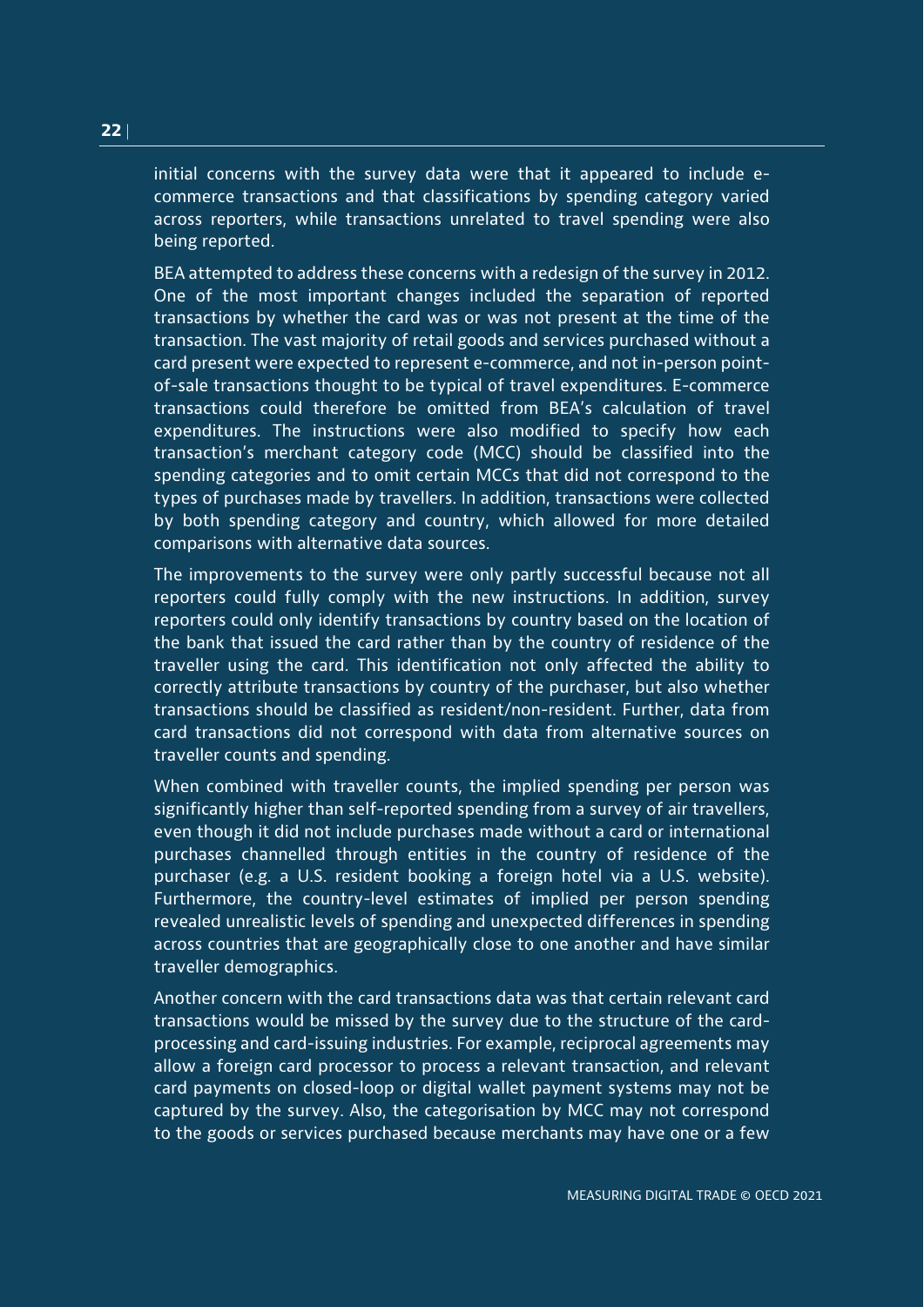initial concerns with the survey data were that it appeared to include ecommerce transactions and that classifications by spending category varied across reporters, while transactions unrelated to travel spending were also being reported.

BEA attempted to address these concerns with a redesign of the survey in 2012. One of the most important changes included the separation of reported transactions by whether the card was or was not present at the time of the transaction. The vast majority of retail goods and services purchased without a card present were expected to represent e-commerce, and not in-person pointof-sale transactions thought to be typical of travel expenditures. E-commerce transactions could therefore be omitted from BEA's calculation of travel expenditures. The instructions were also modified to specify how each transaction's merchant category code (MCC) should be classified into the spending categories and to omit certain MCCs that did not correspond to the types of purchases made by travellers. In addition, transactions were collected by both spending category and country, which allowed for more detailed comparisons with alternative data sources.

The improvements to the survey were only partly successful because not all reporters could fully comply with the new instructions. In addition, survey reporters could only identify transactions by country based on the location of the bank that issued the card rather than by the country of residence of the traveller using the card. This identification not only affected the ability to correctly attribute transactions by country of the purchaser, but also whether transactions should be classified as resident/non-resident. Further, data from card transactions did not correspond with data from alternative sources on traveller counts and spending.

When combined with traveller counts, the implied spending per person was significantly higher than self-reported spending from a survey of air travellers, even though it did not include purchases made without a card or international purchases channelled through entities in the country of residence of the purchaser (e.g. a U.S. resident booking a foreign hotel via a U.S. website). Furthermore, the country-level estimates of implied per person spending revealed unrealistic levels of spending and unexpected differences in spending across countries that are geographically close to one another and have similar traveller demographics.

Another concern with the card transactions data was that certain relevant card transactions would be missed by the survey due to the structure of the cardprocessing and card-issuing industries. For example, reciprocal agreements may allow a foreign card processor to process a relevant transaction, and relevant card payments on closed-loop or digital wallet payment systems may not be captured by the survey. Also, the categorisation by MCC may not correspond to the goods or services purchased because merchants may have one or a few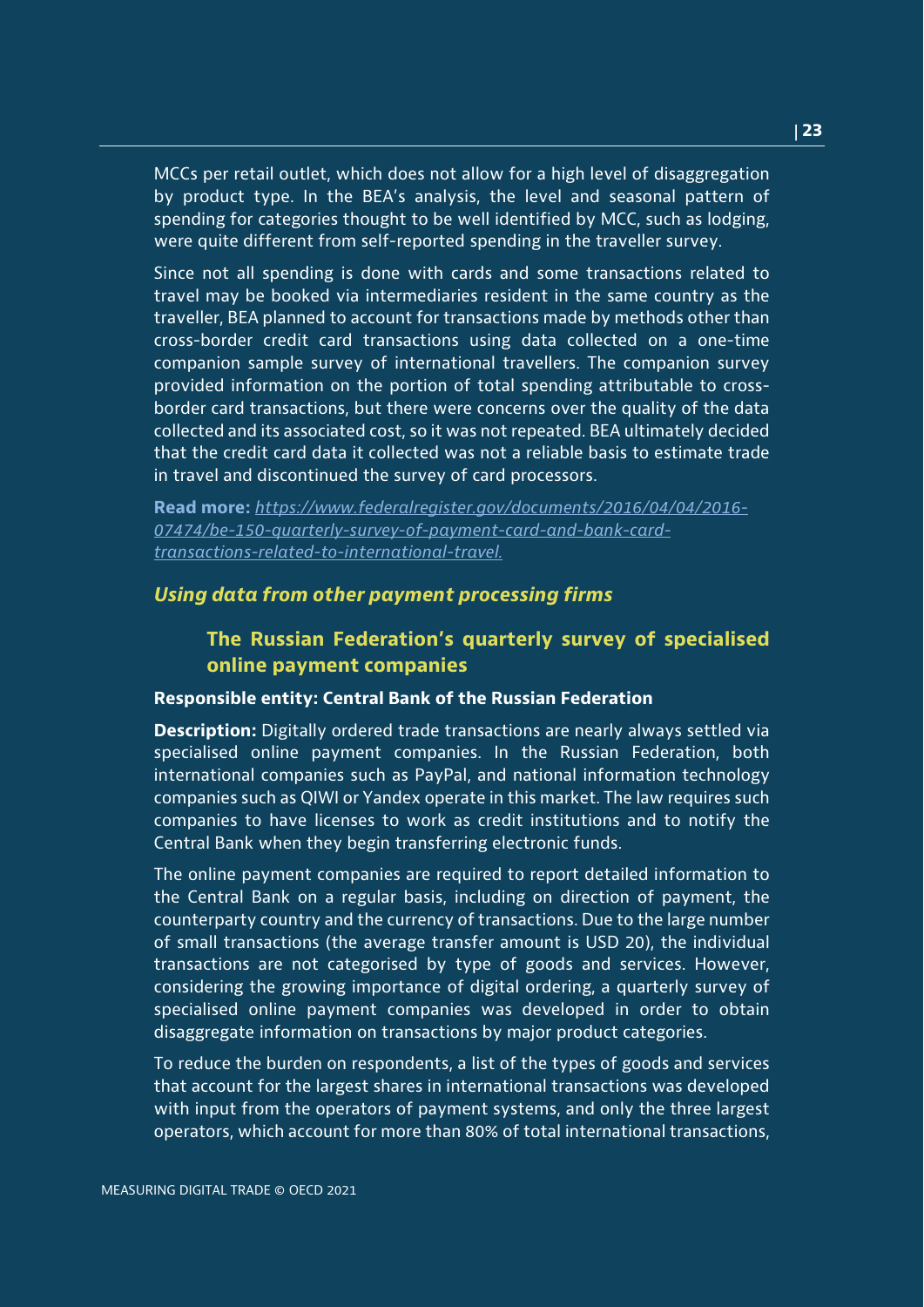MCCs per retail outlet, which does not allow for a high level of disaggregation by product type. In the BEA's analysis, the level and seasonal pattern of spending for categories thought to be well identified by MCC, such as lodging, were quite different from self-reported spending in the traveller survey.

Since not all spending is done with cards and some transactions related to travel may be booked via intermediaries resident in the same country as the traveller, BEA planned to account for transactions made by methods other than cross-border credit card transactions using data collected on a one-time companion sample survey of international travellers. The companion survey provided information on the portion of total spending attributable to crossborder card transactions, but there were concerns over the quality of the data collected and its associated cost, so it was not repeated. BEA ultimately decided that the credit card data it collected was not a reliable basis to estimate trade in travel and discontinued the survey of card processors.

**Read more:** *[https://www.federalregister.gov/documents/2016/04/04/2016-](https://www.federalregister.gov/documents/2016/04/04/2016-07474/be-150-quarterly-survey-of-payment-card-and-bank-card-transactions-related-to-international-travel) [07474/be-150-quarterly-survey-of-payment-card-and-bank-card](https://www.federalregister.gov/documents/2016/04/04/2016-07474/be-150-quarterly-survey-of-payment-card-and-bank-card-transactions-related-to-international-travel)[transactions-related-to-international-travel.](https://www.federalregister.gov/documents/2016/04/04/2016-07474/be-150-quarterly-survey-of-payment-card-and-bank-card-transactions-related-to-international-travel)*

## *Using data from other payment processing firms*

## **The Russian Federation's quarterly survey of specialised online payment companies**

#### **Responsible entity: Central Bank of the Russian Federation**

**Description:** Digitally ordered trade transactions are nearly always settled via specialised online payment companies. In the Russian Federation, both international companies such as PayPal, and national information technology companies such as QIWI or Yandex operate in this market. The law requires such companies to have licenses to work as credit institutions and to notify the Central Bank when they begin transferring electronic funds.

The online payment companies are required to report detailed information to the Central Bank on a regular basis, including on direction of payment, the counterparty country and the currency of transactions. Due to the large number of small transactions (the average transfer amount is USD 20), the individual transactions are not categorised by type of goods and services. However, considering the growing importance of digital ordering, a quarterly survey of specialised online payment companies was developed in order to obtain disaggregate information on transactions by major product categories.

To reduce the burden on respondents, a list of the types of goods and services that account for the largest shares in international transactions was developed with input from the operators of payment systems, and only the three largest operators, which account for more than 80% of total international transactions,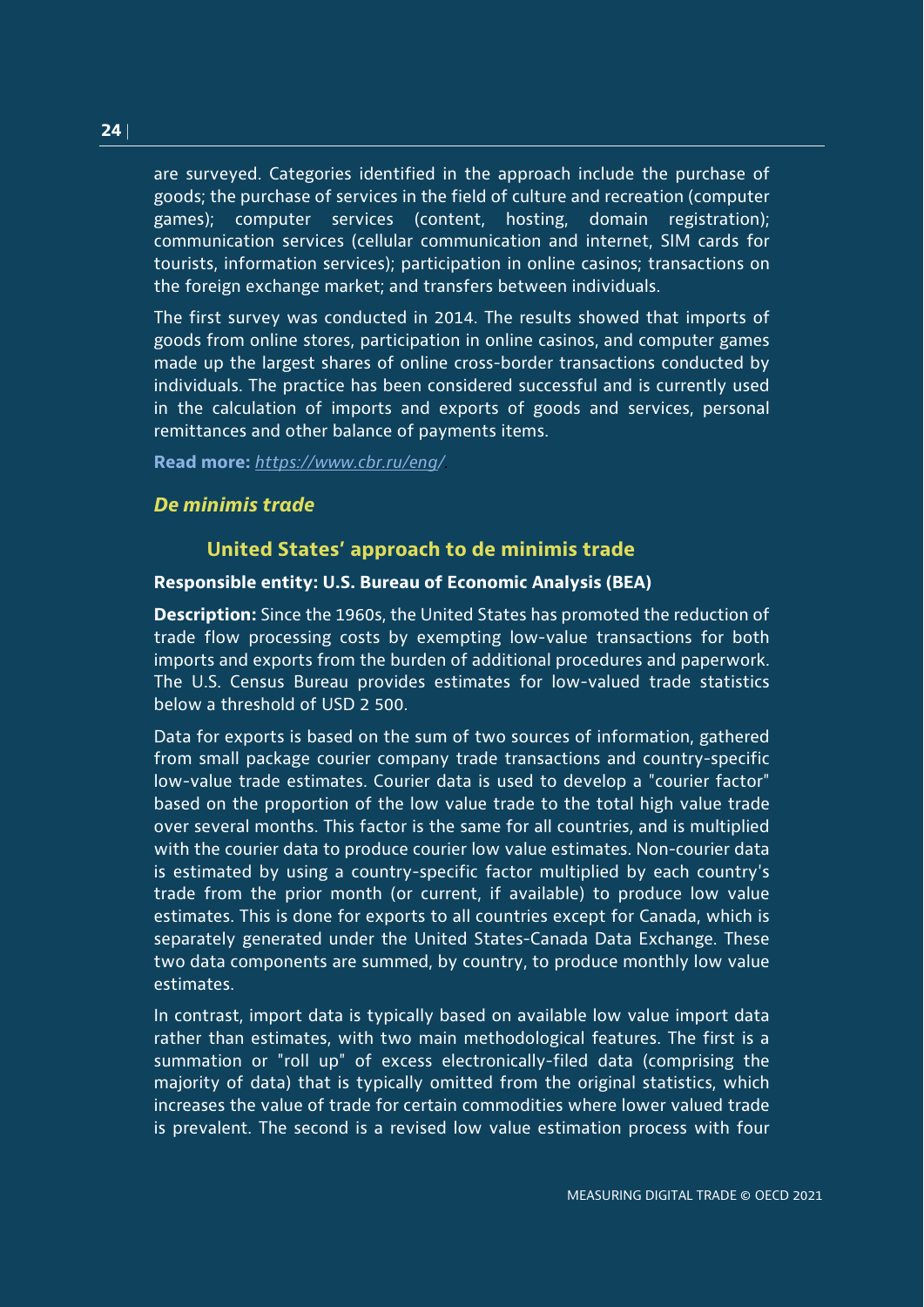are surveyed. Categories identified in the approach include the purchase of goods; the purchase of services in the field of culture and recreation (computer games); computer services (content, hosting, domain registration); communication services (cellular communication and internet, SIM cards for tourists, information services); participation in online casinos; transactions on the foreign exchange market; and transfers between individuals.

The first survey was conducted in 2014. The results showed that imports of goods from online stores, participation in online casinos, and computer games made up the largest shares of online cross-border transactions conducted by individuals. The practice has been considered successful and is currently used in the calculation of imports and exports of goods and services, personal remittances and other balance of payments items.

**Read more:** *[https://www.cbr.ru/eng/.](https://www.cbr.ru/eng/)*

## *De minimis trade*

### **United States' approach to de minimis trade**

#### **Responsible entity: U.S. Bureau of Economic Analysis (BEA)**

**Description:** Since the 1960s, the United States has promoted the reduction of trade flow processing costs by exempting low-value transactions for both imports and exports from the burden of additional procedures and paperwork. The U.S. Census Bureau provides estimates for low-valued trade statistics below a threshold of USD 2 500.

Data for exports is based on the sum of two sources of information, gathered from small package courier company trade transactions and country-specific low-value trade estimates. Courier data is used to develop a "courier factor" based on the proportion of the low value trade to the total high value trade over several months. This factor is the same for all countries, and is multiplied with the courier data to produce courier low value estimates. Non-courier data is estimated by using a country-specific factor multiplied by each country's trade from the prior month (or current, if available) to produce low value estimates. This is done for exports to all countries except for Canada, which is separately generated under the United States-Canada Data Exchange. These two data components are summed, by country, to produce monthly low value estimates.

In contrast, import data is typically based on available low value import data rather than estimates, with two main methodological features. The first is a summation or "roll up" of excess electronically-filed data (comprising the majority of data) that is typically omitted from the original statistics, which increases the value of trade for certain commodities where lower valued trade is prevalent. The second is a revised low value estimation process with four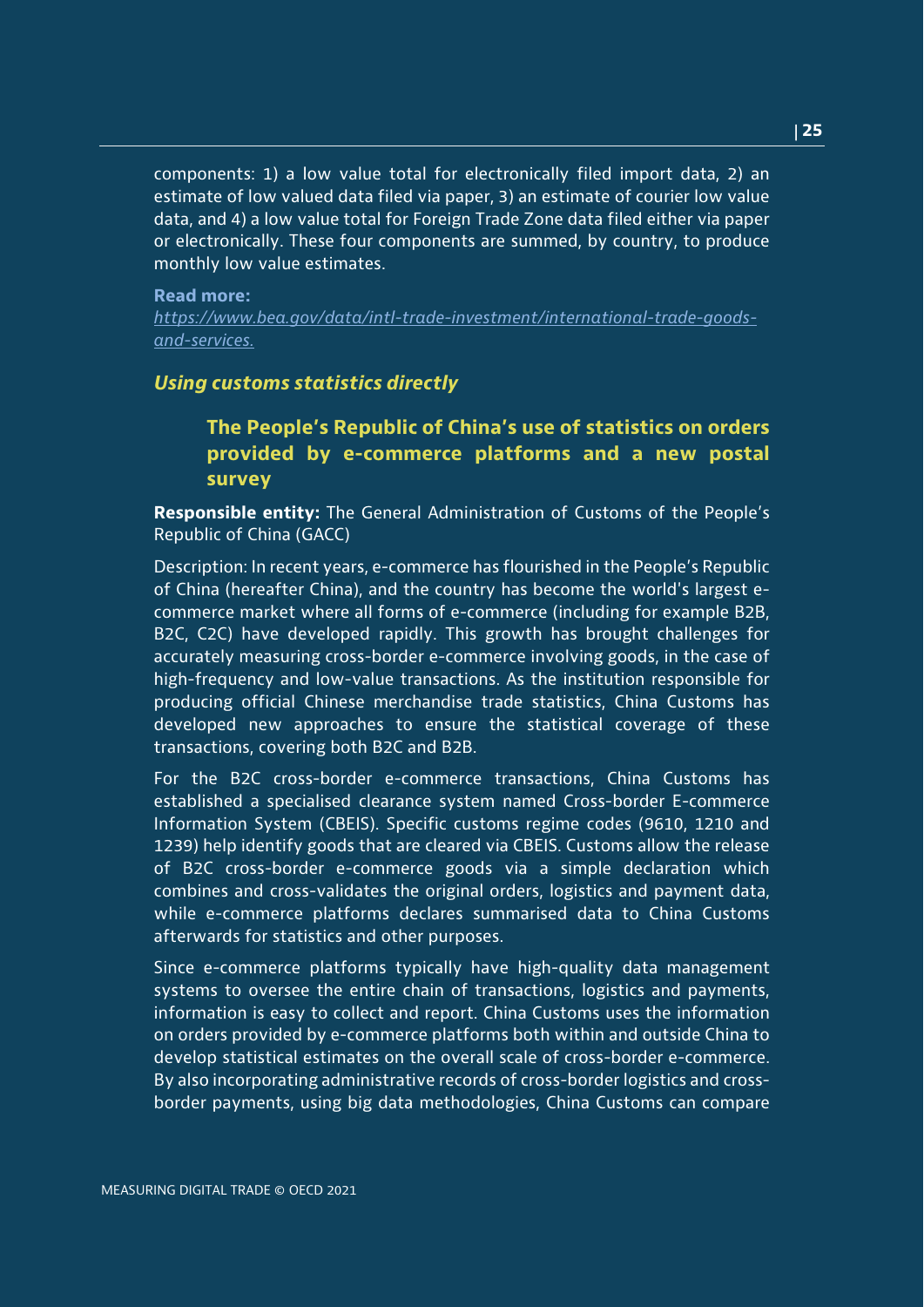components: 1) a low value total for electronically filed import data, 2) an estimate of low valued data filed via paper, 3) an estimate of courier low value data, and 4) a low value total for Foreign Trade Zone data filed either via paper or electronically. These four components are summed, by country, to produce monthly low value estimates.

#### **Read more:**

*[https://www.bea.gov/data/intl-trade-investment/international-trade-goods](https://www.bea.gov/data/intl-trade-investment/international-trade-goods-and-services)[and-services.](https://www.bea.gov/data/intl-trade-investment/international-trade-goods-and-services)*

## *Using customs statistics directly*

## **The People's Republic of China's use of statistics on orders provided by e-commerce platforms and a new postal survey**

**Responsible entity:** The General Administration of Customs of the People's Republic of China (GACC)

Description: In recent years, e-commerce has flourished in the People's Republic of China (hereafter China), and the country has become the world's largest ecommerce market where all forms of e-commerce (including for example B2B, B2C, C2C) have developed rapidly. This growth has brought challenges for accurately measuring cross-border e-commerce involving goods, in the case of high-frequency and low-value transactions. As the institution responsible for producing official Chinese merchandise trade statistics, China Customs has developed new approaches to ensure the statistical coverage of these transactions, covering both B2C and B2B.

For the B2C cross-border e-commerce transactions, China Customs has established a specialised clearance system named Cross-border E-commerce Information System (CBEIS). Specific customs regime codes (9610, 1210 and 1239) help identify goods that are cleared via CBEIS. Customs allow the release of B2C cross-border e-commerce goods via a simple declaration which combines and cross-validates the original orders, logistics and payment data, while e-commerce platforms declares summarised data to China Customs afterwards for statistics and other purposes.

Since e-commerce platforms typically have high-quality data management systems to oversee the entire chain of transactions, logistics and payments, information is easy to collect and report. China Customs uses the information on orders provided by e-commerce platforms both within and outside China to develop statistical estimates on the overall scale of cross-border e-commerce. By also incorporating administrative records of cross-border logistics and crossborder payments, using big data methodologies, China Customs can compare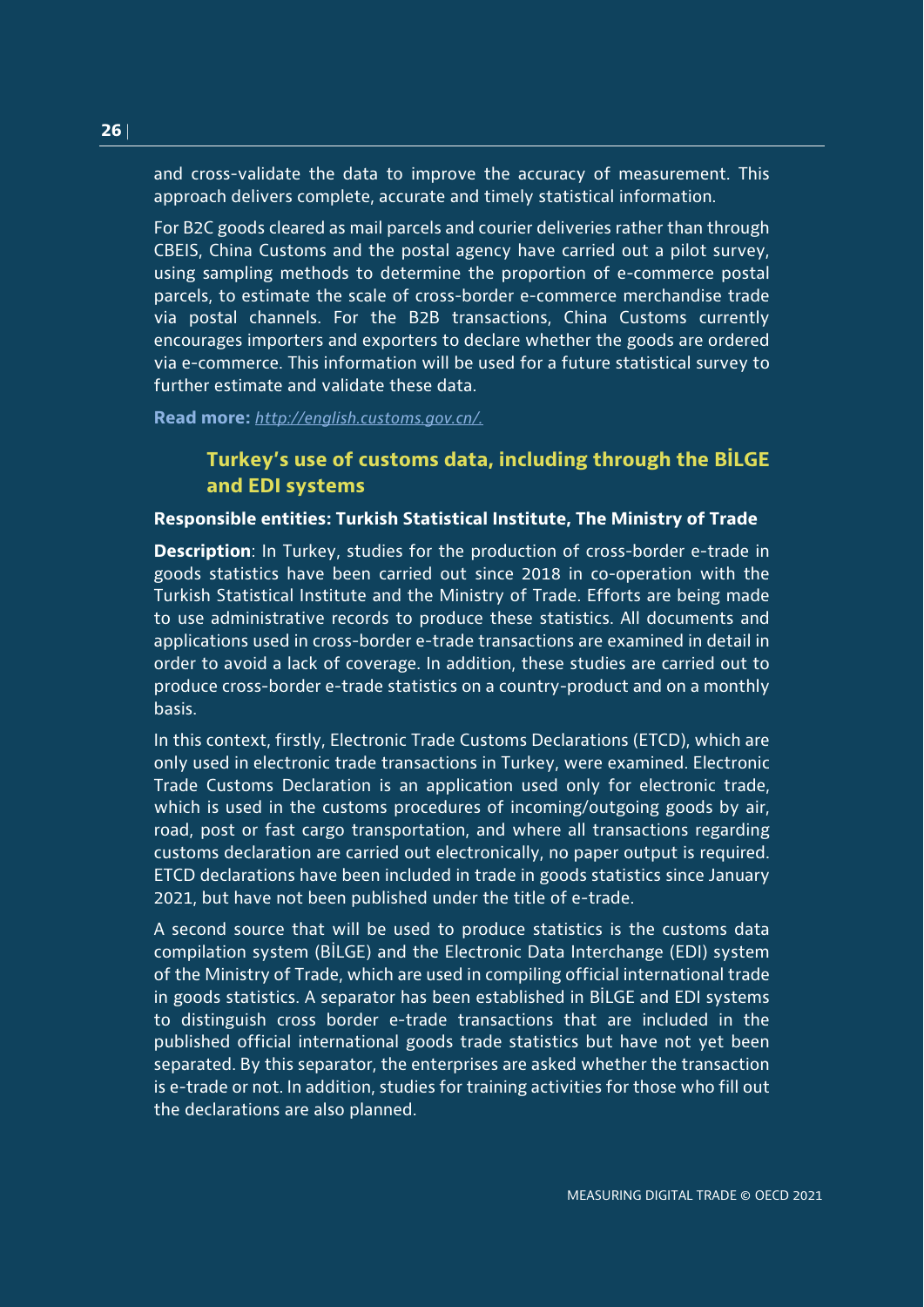and cross-validate the data to improve the accuracy of measurement. This approach delivers complete, accurate and timely statistical information.

For B2C goods cleared as mail parcels and courier deliveries rather than through CBEIS, China Customs and the postal agency have carried out a pilot survey, using sampling methods to determine the proportion of e-commerce postal parcels, to estimate the scale of cross-border e-commerce merchandise trade via postal channels. For the B2B transactions, China Customs currently encourages importers and exporters to declare whether the goods are ordered via e-commerce. This information will be used for a future statistical survey to further estimate and validate these data.

**Read more:** *[http://english.customs.gov.cn/.](http://english.customs.gov.cn/)*

## **Turkey's use of customs data, including through the BİLGE and EDI systems**

### **Responsible entities: Turkish Statistical Institute, The Ministry of Trade**

**Description**: In Turkey, studies for the production of cross-border e-trade in goods statistics have been carried out since 2018 in co-operation with the Turkish Statistical Institute and the Ministry of Trade. Efforts are being made to use administrative records to produce these statistics. All documents and applications used in cross-border e-trade transactions are examined in detail in order to avoid a lack of coverage. In addition, these studies are carried out to produce cross-border e-trade statistics on a country-product and on a monthly basis.

In this context, firstly, Electronic Trade Customs Declarations (ETCD), which are only used in electronic trade transactions in Turkey, were examined. Electronic Trade Customs Declaration is an application used only for electronic trade, which is used in the customs procedures of incoming/outgoing goods by air, road, post or fast cargo transportation, and where all transactions regarding customs declaration are carried out electronically, no paper output is required. ETCD declarations have been included in trade in goods statistics since January 2021, but have not been published under the title of e-trade.

A second source that will be used to produce statistics is the customs data compilation system (BİLGE) and the Electronic Data Interchange (EDI) system of the Ministry of Trade, which are used in compiling official international trade in goods statistics. A separator has been established in BİLGE and EDI systems to distinguish cross border e-trade transactions that are included in the published official international goods trade statistics but have not yet been separated. By this separator, the enterprises are asked whether the transaction is e-trade or not. In addition, studies for training activities for those who fill out the declarations are also planned.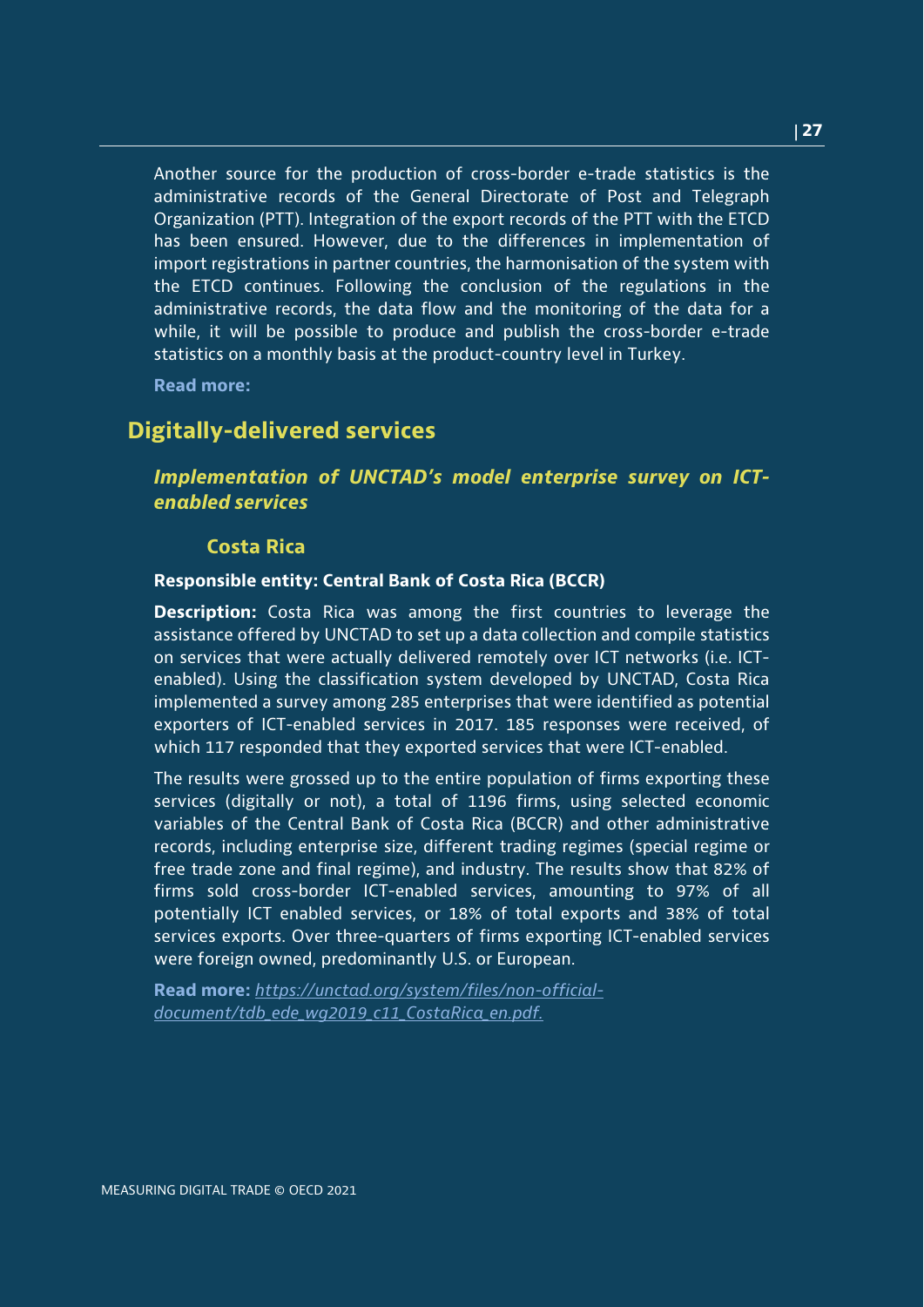Another source for the production of cross-border e-trade statistics is the administrative records of the General Directorate of Post and Telegraph Organization (PTT). Integration of the export records of the PTT with the ETCD has been ensured. However, due to the differences in implementation of import registrations in partner countries, the harmonisation of the system with the ETCD continues. Following the conclusion of the regulations in the administrative records, the data flow and the monitoring of the data for a while, it will be possible to produce and publish the cross-border e-trade statistics on a monthly basis at the product-country level in Turkey.

**Read more:**

## **Digitally-delivered services**

## *Implementation of UNCTAD's model enterprise survey on ICTenabled services*

## **Costa Rica**

#### **Responsible entity: Central Bank of Costa Rica (BCCR)**

**Description:** Costa Rica was among the first countries to leverage the assistance offered by UNCTAD to set up a data collection and compile statistics on services that were actually delivered remotely over ICT networks (i.e. ICTenabled). Using the classification system developed by UNCTAD, Costa Rica implemented a survey among 285 enterprises that were identified as potential exporters of ICT-enabled services in 2017. 185 responses were received, of which 117 responded that they exported services that were ICT-enabled.

The results were grossed up to the entire population of firms exporting these services (digitally or not), a total of 1196 firms, using selected economic variables of the Central Bank of Costa Rica (BCCR) and other administrative records, including enterprise size, different trading regimes (special regime or free trade zone and final regime), and industry. The results show that 82% of firms sold cross-border ICT-enabled services, amounting to 97% of all potentially ICT enabled services, or 18% of total exports and 38% of total services exports. Over three-quarters of firms exporting ICT-enabled services were foreign owned, predominantly U.S. or European.

**Read more:** *[https://unctad.org/system/files/non-official](https://unctad.org/system/files/non-official-document/tdb_ede_wg2019_c11_CostaRica_en.pdf)[document/tdb\\_ede\\_wg2019\\_c11\\_CostaRica\\_en.pdf.](https://unctad.org/system/files/non-official-document/tdb_ede_wg2019_c11_CostaRica_en.pdf)*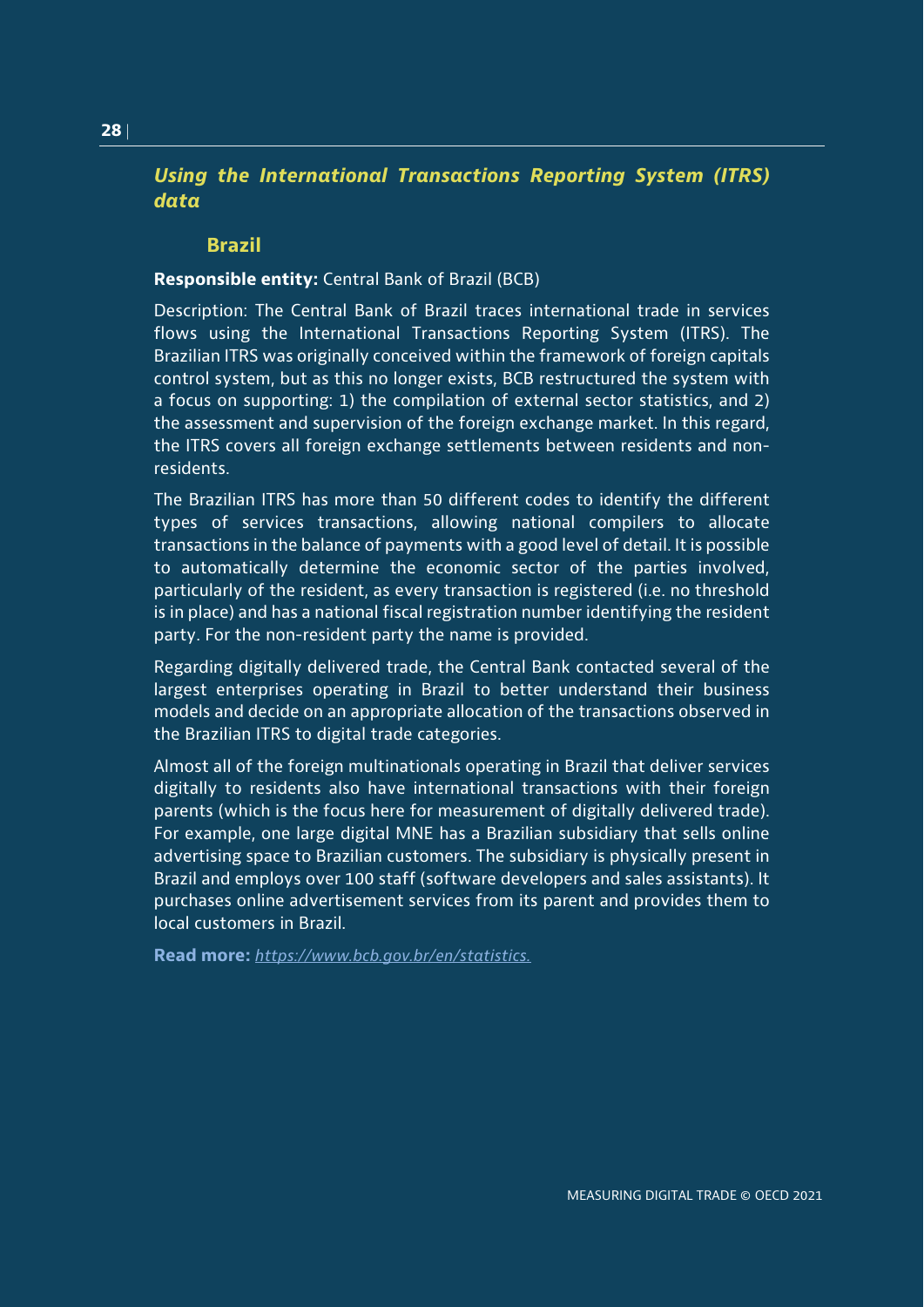## *Using the International Transactions Reporting System (ITRS) data*

### **Brazil**

## **Responsible entity:** Central Bank of Brazil (BCB)

Description: The Central Bank of Brazil traces international trade in services flows using the International Transactions Reporting System (ITRS). The Brazilian ITRS was originally conceived within the framework of foreign capitals control system, but as this no longer exists, BCB restructured the system with a focus on supporting: 1) the compilation of external sector statistics, and 2) the assessment and supervision of the foreign exchange market. In this regard, the ITRS covers all foreign exchange settlements between residents and nonresidents.

The Brazilian ITRS has more than 50 different codes to identify the different types of services transactions, allowing national compilers to allocate transactions in the balance of payments with a good level of detail. It is possible to automatically determine the economic sector of the parties involved, particularly of the resident, as every transaction is registered (i.e. no threshold is in place) and has a national fiscal registration number identifying the resident party. For the non-resident party the name is provided.

Regarding digitally delivered trade, the Central Bank contacted several of the largest enterprises operating in Brazil to better understand their business models and decide on an appropriate allocation of the transactions observed in the Brazilian ITRS to digital trade categories.

Almost all of the foreign multinationals operating in Brazil that deliver services digitally to residents also have international transactions with their foreign parents (which is the focus here for measurement of digitally delivered trade). For example, one large digital MNE has a Brazilian subsidiary that sells online advertising space to Brazilian customers. The subsidiary is physically present in Brazil and employs over 100 staff (software developers and sales assistants). It purchases online advertisement services from its parent and provides them to local customers in Brazil.

**Read more:** *[https://www.bcb.gov.br/en/statistics.](https://www.bcb.gov.br/en/statistics)*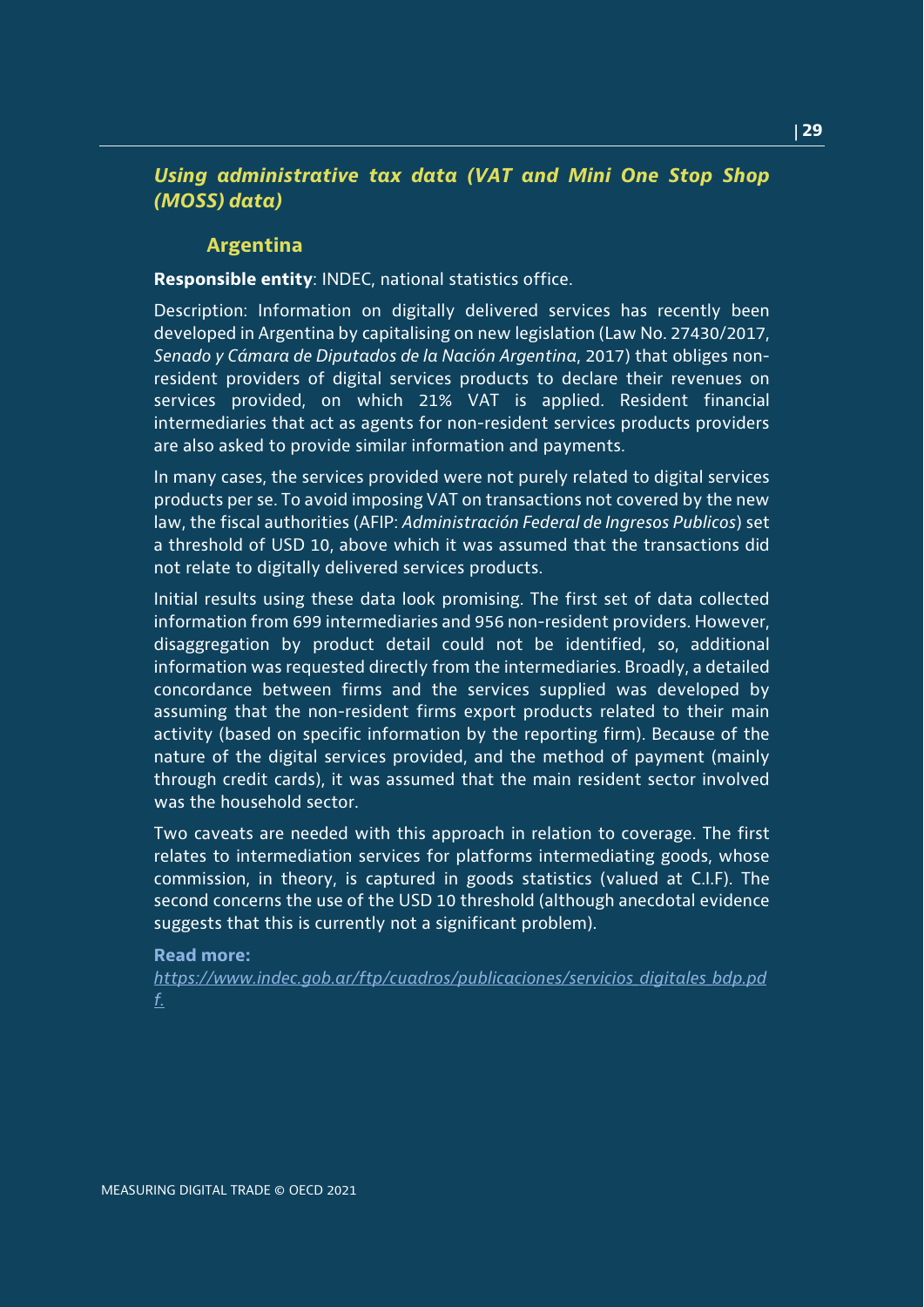## *Using administrative tax data (VAT and Mini One Stop Shop (MOSS) data)*

## **Argentina**

**Responsible entity**: INDEC, national statistics office.

Description: Information on digitally delivered services has recently been developed in Argentina by capitalising on new legislation (Law No. 27430/2017, *Senado y Cámara de Diputados de la Nación Argentina*, 2017) that obliges nonresident providers of digital services products to declare their revenues on services provided, on which 21% VAT is applied. Resident financial intermediaries that act as agents for non-resident services products providers are also asked to provide similar information and payments.

In many cases, the services provided were not purely related to digital services products per se. To avoid imposing VAT on transactions not covered by the new law, the fiscal authorities (AFIP: *Administración Federal de Ingresos Publicos*) set a threshold of USD 10, above which it was assumed that the transactions did not relate to digitally delivered services products.

Initial results using these data look promising. The first set of data collected information from 699 intermediaries and 956 non-resident providers. However, disaggregation by product detail could not be identified, so, additional information was requested directly from the intermediaries. Broadly, a detailed concordance between firms and the services supplied was developed by assuming that the non-resident firms export products related to their main activity (based on specific information by the reporting firm). Because of the nature of the digital services provided, and the method of payment (mainly through credit cards), it was assumed that the main resident sector involved was the household sector.

Two caveats are needed with this approach in relation to coverage. The first relates to intermediation services for platforms intermediating goods, whose commission, in theory, is captured in goods statistics (valued at C.I.F). The second concerns the use of the USD 10 threshold (although anecdotal evidence suggests that this is currently not a significant problem).

#### **Read more:**

*[https://www.indec.gob.ar/ftp/cuadros/publicaciones/servicios\\_digitales\\_bdp.pd](https://www.indec.gob.ar/ftp/cuadros/publicaciones/servicios_digitales_bdp.pdf) [f.](https://www.indec.gob.ar/ftp/cuadros/publicaciones/servicios_digitales_bdp.pdf)*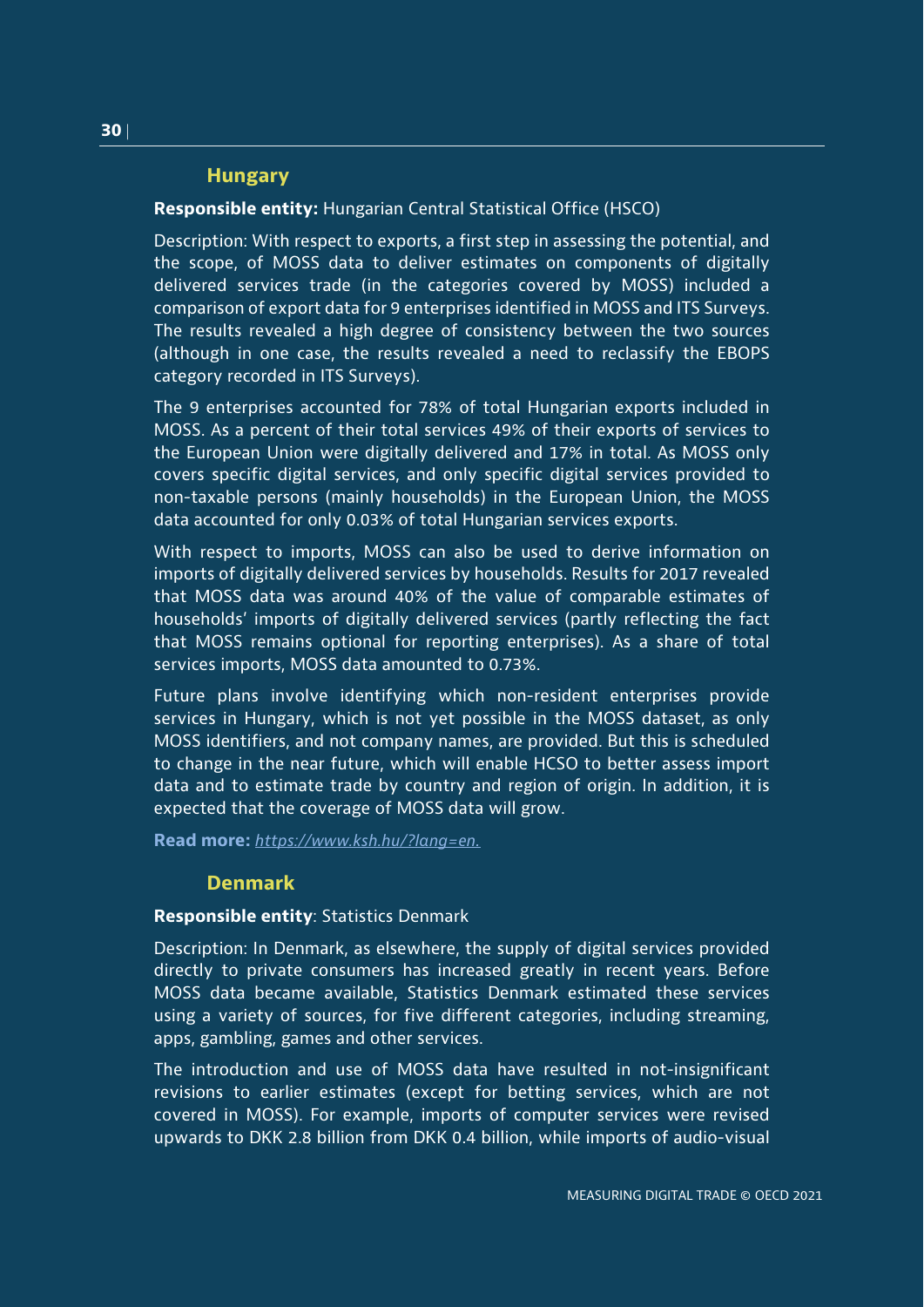## **Hungary**

## **Responsible entity:** Hungarian Central Statistical Office (HSCO)

Description: With respect to exports, a first step in assessing the potential, and the scope, of MOSS data to deliver estimates on components of digitally delivered services trade (in the categories covered by MOSS) included a comparison of export data for 9 enterprises identified in MOSS and ITS Surveys. The results revealed a high degree of consistency between the two sources (although in one case, the results revealed a need to reclassify the EBOPS category recorded in ITS Surveys).

The 9 enterprises accounted for 78% of total Hungarian exports included in MOSS. As a percent of their total services 49% of their exports of services to the European Union were digitally delivered and 17% in total. As MOSS only covers specific digital services, and only specific digital services provided to non-taxable persons (mainly households) in the European Union, the MOSS data accounted for only 0.03% of total Hungarian services exports.

With respect to imports, MOSS can also be used to derive information on imports of digitally delivered services by households. Results for 2017 revealed that MOSS data was around 40% of the value of comparable estimates of households' imports of digitally delivered services (partly reflecting the fact that MOSS remains optional for reporting enterprises). As a share of total services imports, MOSS data amounted to 0.73%.

Future plans involve identifying which non-resident enterprises provide services in Hungary, which is not yet possible in the MOSS dataset, as only MOSS identifiers, and not company names, are provided. But this is scheduled to change in the near future, which will enable HCSO to better assess import data and to estimate trade by country and region of origin. In addition, it is expected that the coverage of MOSS data will grow.

**Read more:** *[https://www.ksh.hu/?lang=en.](https://www.ksh.hu/?lang=en)*

## **Denmark**

## **Responsible entity**: Statistics Denmark

Description: In Denmark, as elsewhere, the supply of digital services provided directly to private consumers has increased greatly in recent years. Before MOSS data became available, Statistics Denmark estimated these services using a variety of sources, for five different categories, including streaming, apps, gambling, games and other services.

The introduction and use of MOSS data have resulted in not-insignificant revisions to earlier estimates (except for betting services, which are not covered in MOSS). For example, imports of computer services were revised upwards to DKK 2.8 billion from DKK 0.4 billion, while imports of audio-visual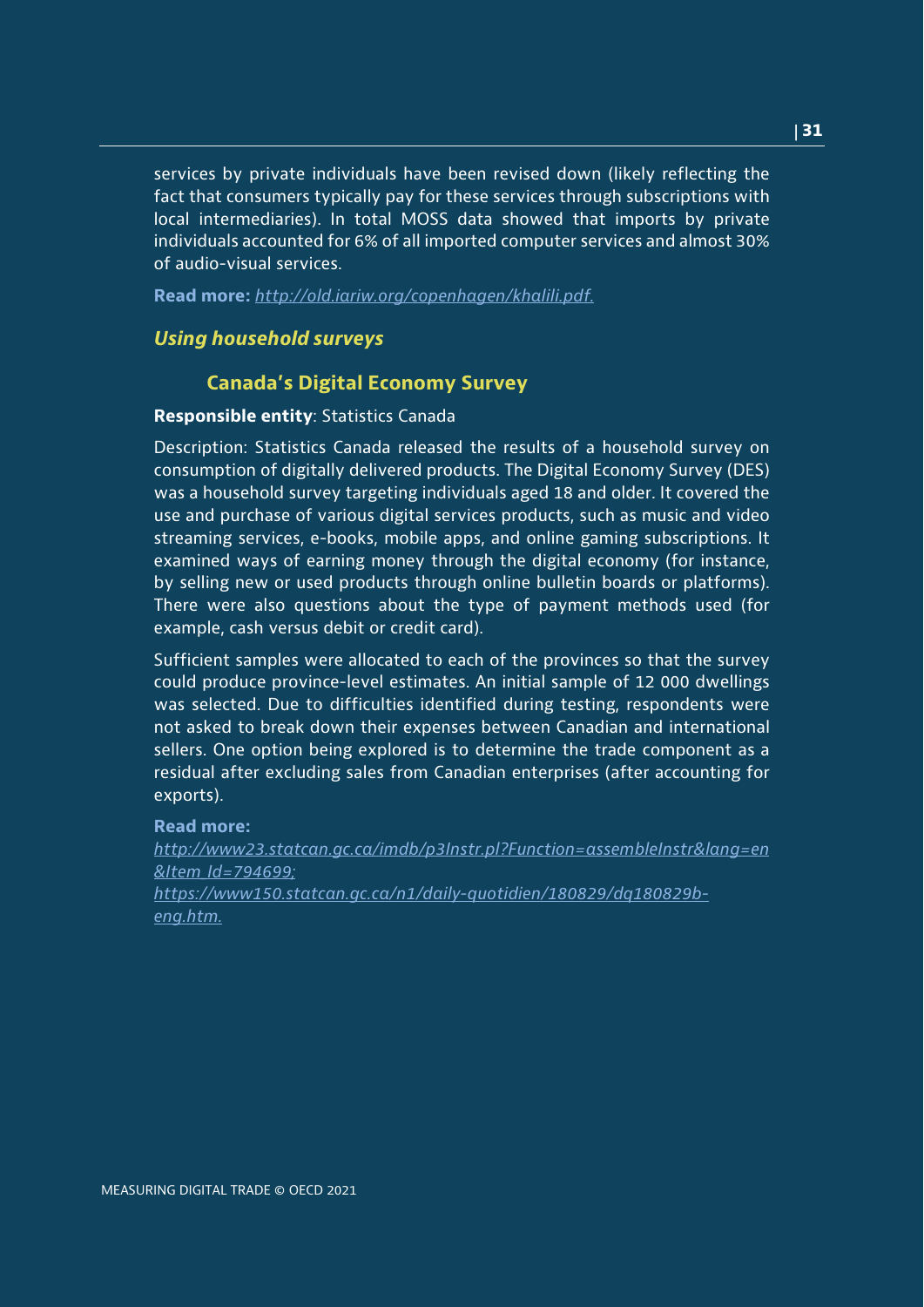services by private individuals have been revised down (likely reflecting the fact that consumers typically pay for these services through subscriptions with local intermediaries). In total MOSS data showed that imports by private individuals accounted for 6% of all imported computer services and almost 30% of audio-visual services.

**Read more:** *http://old.iariw.org/copenhagen/khalili.pdf.*

## *Using household surveys*

## **Canada's Digital Economy Survey**

## **Responsible entity**: Statistics Canada

Description: Statistics Canada released the results of a household survey on consumption of digitally delivered products. The Digital Economy Survey (DES) was a household survey targeting individuals aged 18 and older. It covered the use and purchase of various digital services products, such as music and video streaming services, e-books, mobile apps, and online gaming subscriptions. It examined ways of earning money through the digital economy (for instance, by selling new or used products through online bulletin boards or platforms). There were also questions about the type of payment methods used (for example, cash versus debit or credit card).

Sufficient samples were allocated to each of the provinces so that the survey could produce province-level estimates. An initial sample of 12 000 dwellings was selected. Due to difficulties identified during testing, respondents were not asked to break down their expenses between Canadian and international sellers. One option being explored is to determine the trade component as a residual after excluding sales from Canadian enterprises (after accounting for exports).

#### **Read more:**

*[http://www23.statcan.gc.ca/imdb/p3Instr.pl?Function=assembleInstr&lang=en](http://www23.statcan.gc.ca/imdb/p3Instr.pl?Function=assembleInstr&lang=en&Item_Id=794699) [&Item\\_Id=794699;](http://www23.statcan.gc.ca/imdb/p3Instr.pl?Function=assembleInstr&lang=en&Item_Id=794699) [https://www150.statcan.gc.ca/n1/daily-quotidien/180829/dq180829b-](https://www150.statcan.gc.ca/n1/daily-quotidien/180829/dq180829b-eng.htm)*

*[eng.htm.](https://www150.statcan.gc.ca/n1/daily-quotidien/180829/dq180829b-eng.htm)*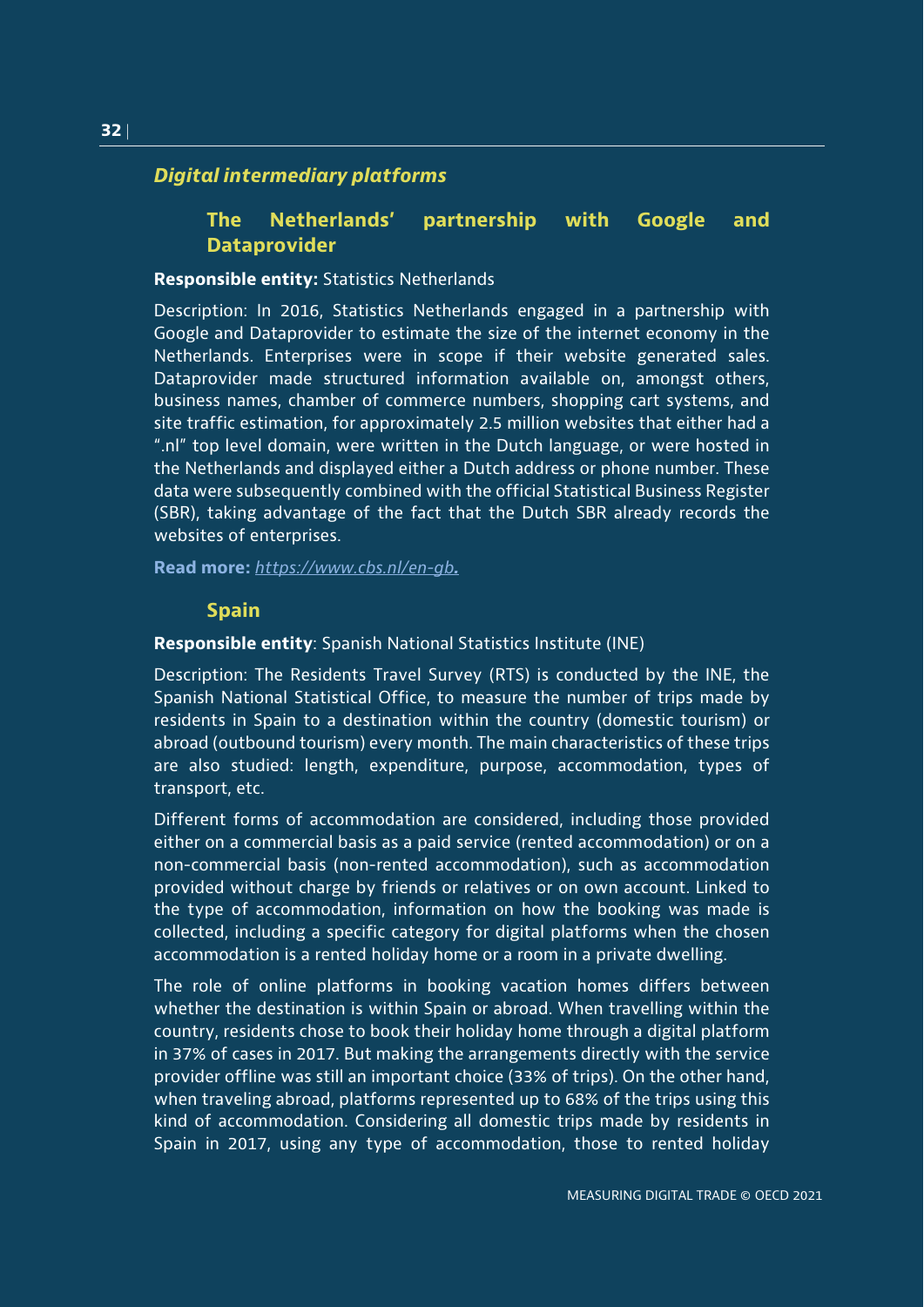## *Digital intermediary platforms*

## **The Netherlands' partnership with Google and Dataprovider**

#### **Responsible entity:** Statistics Netherlands

Description: In 2016, Statistics Netherlands engaged in a partnership with Google and Dataprovider to estimate the size of the internet economy in the Netherlands. Enterprises were in scope if their website generated sales. Dataprovider made structured information available on, amongst others, business names, chamber of commerce numbers, shopping cart systems, and site traffic estimation, for approximately 2.5 million websites that either had a ".nl" top level domain, were written in the Dutch language, or were hosted in the Netherlands and displayed either a Dutch address or phone number. These data were subsequently combined with the official Statistical Business Register (SBR), taking advantage of the fact that the Dutch SBR already records the websites of enterprises.

**Read more:** *<https://www.cbs.nl/en-gb>.*

#### **Spain**

#### **Responsible entity**: Spanish National Statistics Institute (INE)

Description: The Residents Travel Survey (RTS) is conducted by the INE, the Spanish National Statistical Office, to measure the number of trips made by residents in Spain to a destination within the country (domestic tourism) or abroad (outbound tourism) every month. The main characteristics of these trips are also studied: length, expenditure, purpose, accommodation, types of transport, etc.

Different forms of accommodation are considered, including those provided either on a commercial basis as a paid service (rented accommodation) or on a non-commercial basis (non-rented accommodation), such as accommodation provided without charge by friends or relatives or on own account. Linked to the type of accommodation, information on how the booking was made is collected, including a specific category for digital platforms when the chosen accommodation is a rented holiday home or a room in a private dwelling.

The role of online platforms in booking vacation homes differs between whether the destination is within Spain or abroad. When travelling within the country, residents chose to book their holiday home through a digital platform in 37% of cases in 2017. But making the arrangements directly with the service provider offline was still an important choice (33% of trips). On the other hand, when traveling abroad, platforms represented up to 68% of the trips using this kind of accommodation. Considering all domestic trips made by residents in Spain in 2017, using any type of accommodation, those to rented holiday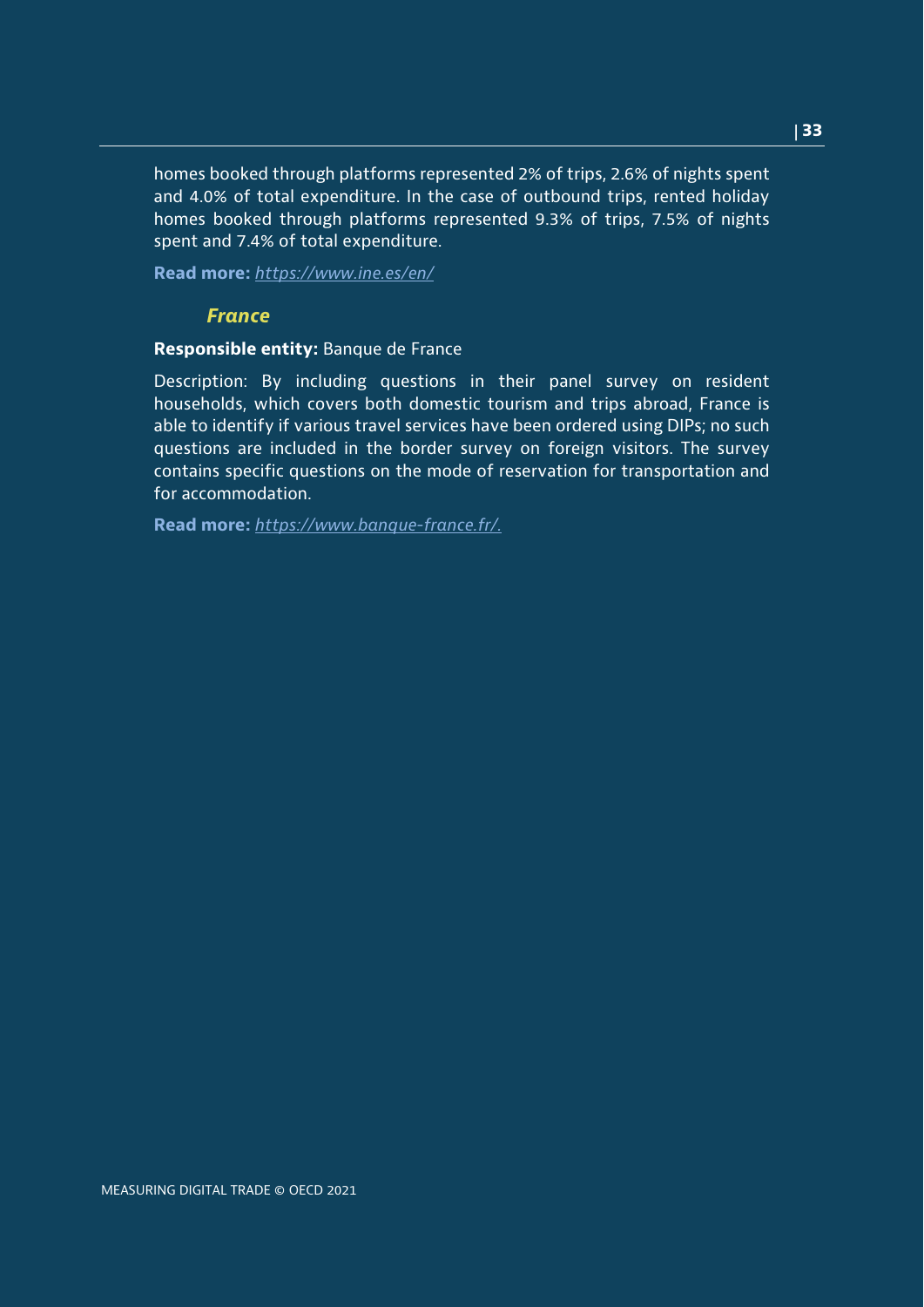homes booked through platforms represented 2% of trips, 2.6% of nights spent and 4.0% of total expenditure. In the case of outbound trips, rented holiday homes booked through platforms represented 9.3% of trips, 7.5% of nights spent and 7.4% of total expenditure.

**Read more:** *<https://www.ine.es/en/>*

## *France*

## **Responsible entity:** Banque de France

Description: By including questions in their panel survey on resident households, which covers both domestic tourism and trips abroad, France is able to identify if various travel services have been ordered using DIPs; no such questions are included in the border survey on foreign visitors. The survey contains specific questions on the mode of reservation for transportation and for accommodation.

**Read more:** *[https://www.banque-france.fr/.](https://www.banque-france.fr/)*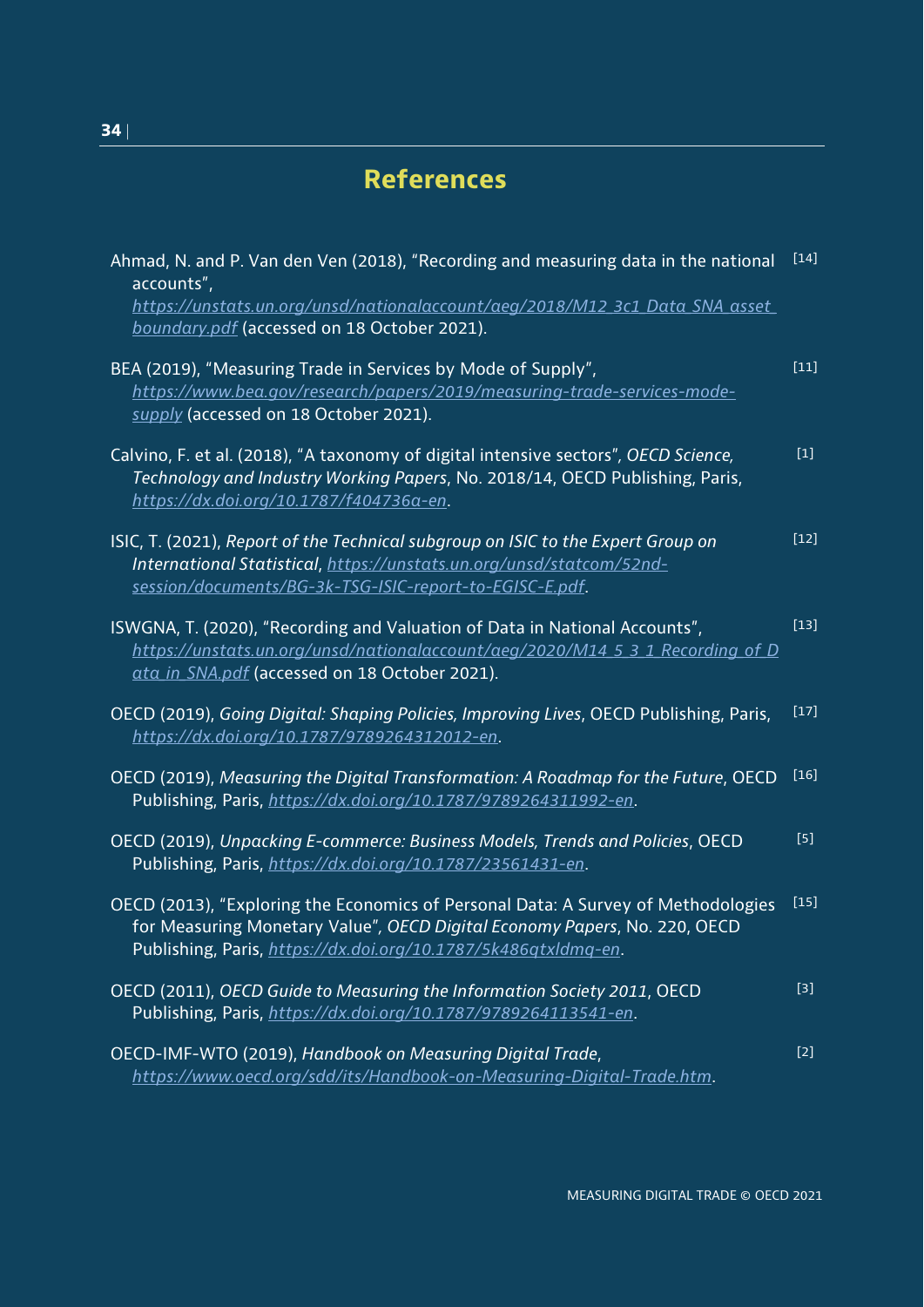## <span id="page-33-0"></span>**References**

| Ahmad, N. and P. Van den Ven (2018), "Recording and measuring data in the national<br>accounts",<br>https://unstats.un.org/unsd/nationalaccount/aeg/2018/M12_3c1_Data_SNA_asset_                                                 | $\overline{[14]}$ |
|----------------------------------------------------------------------------------------------------------------------------------------------------------------------------------------------------------------------------------|-------------------|
| boundary.pdf (accessed on 18 October 2021).                                                                                                                                                                                      |                   |
| BEA (2019), "Measuring Trade in Services by Mode of Supply",<br>https://www.bea.gov/research/papers/2019/measuring-trade-services-mode-<br>supply (accessed on 18 October 2021).                                                 | $[11]$            |
| Calvino, F. et al. (2018), "A taxonomy of digital intensive sectors", OECD Science,<br>Technology and Industry Working Papers, No. 2018/14, OECD Publishing, Paris,<br>https://dx.doi.org/10.1787/f404736a-en.                   | $[1]$             |
| ISIC, T. (2021), Report of the Technical subgroup on ISIC to the Expert Group on<br>International Statistical, https://unstats.un.org/unsd/statcom/52nd-<br>session/documents/BG-3k-TSG-ISIC-report-to-EGISC-E.pdf.              | $[12]$            |
| ISWGNA, T. (2020), "Recording and Valuation of Data in National Accounts",<br>https://unstats.un.org/unsd/nationalaccount/aeg/2020/M14 5 3 1 Recording of D<br>ata in SNA.pdf (accessed on 18 October 2021).                     | $[13]$            |
| OECD (2019), Going Digital: Shaping Policies, Improving Lives, OECD Publishing, Paris,<br>https://dx.doi.org/10.1787/9789264312012-en.                                                                                           | $[17]$            |
| OECD (2019), Measuring the Digital Transformation: A Roadmap for the Future, OECD<br>Publishing, Paris, https://dx.doi.org/10.1787/9789264311992-en.                                                                             | $[16]$            |
| OECD (2019), Unpacking E-commerce: Business Models, Trends and Policies, OECD<br>Publishing, Paris, https://dx.doi.org/10.1787/23561431-en.                                                                                      | $[5]$             |
| OECD (2013), "Exploring the Economics of Personal Data: A Survey of Methodologies<br>for Measuring Monetary Value", OECD Digital Economy Papers, No. 220, OECD<br>Publishing, Paris, https://dx.doi.org/10.1787/5k486qtxldmq-en. | $[15]$            |
| OECD (2011), OECD Guide to Measuring the Information Society 2011, OECD<br>Publishing, Paris, https://dx.doi.org/10.1787/9789264113541-en.                                                                                       | $[3]$             |
| OECD-IMF-WTO (2019), Handbook on Measuring Digital Trade,<br>https://www.oecd.org/sdd/its/Handbook-on-Measuring-Digital-Trade.htm.                                                                                               | $[2]$             |